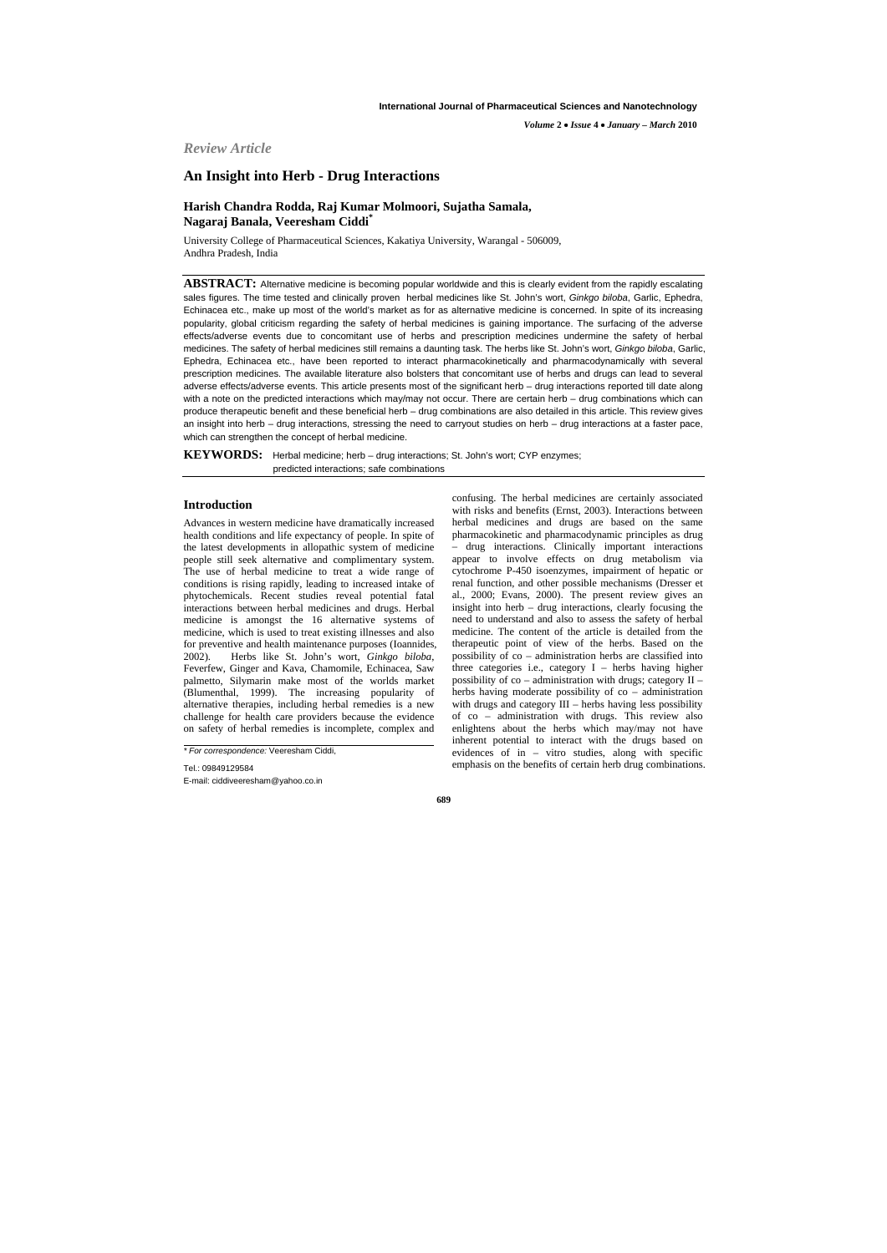*Review Article*

# **An Insight into Herb - Drug Interactions**

# **Harish Chandra Rodda, Raj Kumar Molmoori, Sujatha Samala, Nagaraj Banala, Veeresham Ciddi\***

University College of Pharmaceutical Sciences, Kakatiya University, Warangal - 506009, Andhra Pradesh, India

**ABSTRACT:** Alternative medicine is becoming popular worldwide and this is clearly evident from the rapidly escalating sales figures. The time tested and clinically proven herbal medicines like St. John's wort, *Ginkgo biloba*, Garlic, Ephedra, Echinacea etc., make up most of the world's market as for as alternative medicine is concerned. In spite of its increasing popularity, global criticism regarding the safety of herbal medicines is gaining importance. The surfacing of the adverse effects/adverse events due to concomitant use of herbs and prescription medicines undermine the safety of herbal medicines. The safety of herbal medicines still remains a daunting task. The herbs like St. John's wort, *Ginkgo biloba*, Garlic, Ephedra, Echinacea etc., have been reported to interact pharmacokinetically and pharmacodynamically with several prescription medicines. The available literature also bolsters that concomitant use of herbs and drugs can lead to several adverse effects/adverse events. This article presents most of the significant herb – drug interactions reported till date along with a note on the predicted interactions which may/may not occur. There are certain herb – drug combinations which can produce therapeutic benefit and these beneficial herb – drug combinations are also detailed in this article. This review gives an insight into herb – drug interactions, stressing the need to carryout studies on herb – drug interactions at a faster pace, which can strengthen the concept of herbal medicine.

**KEYWORDS:** Herbal medicine; herb – drug interactions; St. John's wort; CYP enzymes; predicted interactions; safe combinations

# **Introduction**

Advances in western medicine have dramatically increased health conditions and life expectancy of people. In spite of the latest developments in allopathic system of medicine people still seek alternative and complimentary system. The use of herbal medicine to treat a wide range of conditions is rising rapidly, leading to increased intake of phytochemicals. Recent studies reveal potential fatal interactions between herbal medicines and drugs. Herbal medicine is amongst the 16 alternative systems of medicine, which is used to treat existing illnesses and also for preventive and health maintenance purposes (Ioannides, 2002). Herbs like St. John's wort, *Ginkgo biloba*, Feverfew, Ginger and Kava, Chamomile, Echinacea, Saw palmetto, Silymarin make most of the worlds market (Blumenthal, 1999). The increasing popularity of alternative therapies, including herbal remedies is a new challenge for health care providers because the evidence on safety of herbal remedies is incomplete, complex and

confusing. The herbal medicines are certainly associated with risks and benefits (Ernst, 2003). Interactions between herbal medicines and drugs are based on the same pharmacokinetic and pharmacodynamic principles as drug – drug interactions. Clinically important interactions appear to involve effects on drug metabolism via cytochrome P-450 isoenzymes, impairment of hepatic or renal function, and other possible mechanisms (Dresser et al., 2000; Evans, 2000). The present review gives an insight into herb – drug interactions, clearly focusing the need to understand and also to assess the safety of herbal medicine. The content of the article is detailed from the therapeutic point of view of the herbs. Based on the possibility of co – administration herbs are classified into three categories i.e., category I – herbs having higher possibility of co – administration with drugs; category II – herbs having moderate possibility of co – administration with drugs and category III – herbs having less possibility of co – administration with drugs. This review also enlightens about the herbs which may/may not have inherent potential to interact with the drugs based on evidences of in – vitro studies, along with specific emphasis on the benefits of certain herb drug combinations.

*Volume* **2** • *Issue* **4** • *January – March* **2010**

Tel.: 09849129584 E-mail: ciddiveeresham@yahoo.co.in

*<sup>\*</sup> For correspondence:* Veeresham Ciddi,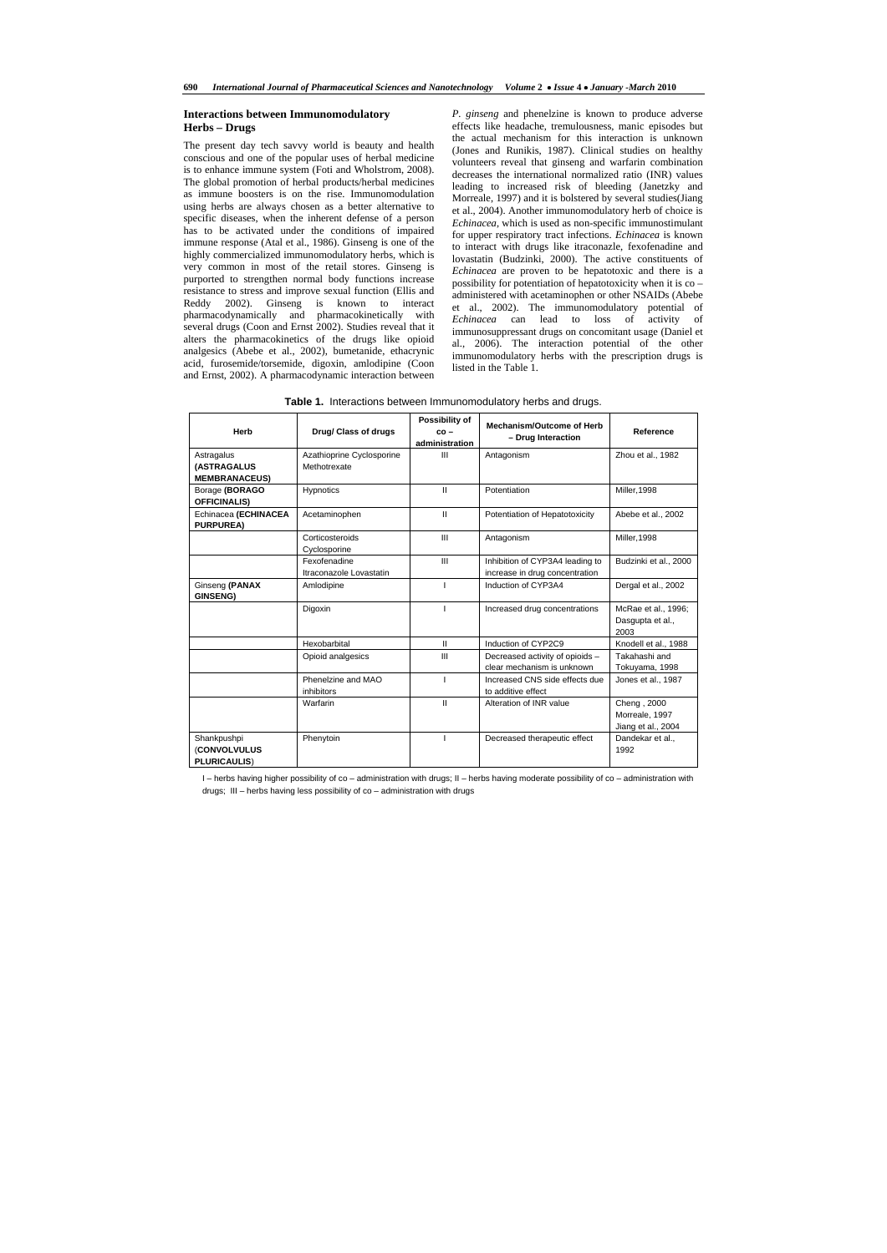# **Interactions between Immunomodulatory Herbs – Drugs**

The present day tech savvy world is beauty and health conscious and one of the popular uses of herbal medicine is to enhance immune system (Foti and Wholstrom, 2008). The global promotion of herbal products/herbal medicines as immune boosters is on the rise. Immunomodulation using herbs are always chosen as a better alternative to specific diseases, when the inherent defense of a person has to be activated under the conditions of impaired immune response (Atal et al., 1986). Ginseng is one of the highly commercialized immunomodulatory herbs, which is very common in most of the retail stores. Ginseng is purported to strengthen normal body functions increase resistance to stress and improve sexual function (Ellis and Reddy 2002). Ginseng is known to interact pharmacodynamically and pharmacokinetically with several drugs (Coon and Ernst 2002). Studies reveal that it alters the pharmacokinetics of the drugs like opioid analgesics (Abebe et al., 2002), bumetanide, ethacrynic acid, furosemide/torsemide, digoxin, amlodipine (Coon and Ernst, 2002). A pharmacodynamic interaction between

*P. ginseng* and phenelzine is known to produce adverse effects like headache, tremulousness, manic episodes but the actual mechanism for this interaction is unknown (Jones and Runikis, 1987). Clinical studies on healthy volunteers reveal that ginseng and warfarin combination decreases the international normalized ratio (INR) values leading to increased risk of bleeding (Janetzky and Morreale, 1997) and it is bolstered by several studies(Jiang et al., 2004). Another immunomodulatory herb of choice is *Echinacea*, which is used as non-specific immunostimulant for upper respiratory tract infections. *Echinacea* is known to interact with drugs like itraconazle, fexofenadine and lovastatin (Budzinki, 2000). The active constituents of *Echinacea* are proven to be hepatotoxic and there is a possibility for potentiation of hepatotoxicity when it is co – administered with acetaminophen or other NSAIDs (Abebe et al., 2002). The immunomodulatory potential of *Echinacea* can lead to loss of activity of immunosuppressant drugs on concomitant usage (Daniel et al., 2006). The interaction potential of the other immunomodulatory herbs with the prescription drugs is listed in the Table 1.

| Herb                                               | Drug/ Class of drugs                      | Possibility of<br>$co -$<br>administration | Mechanism/Outcome of Herb<br>- Drug Interaction                   | Reference                                           |
|----------------------------------------------------|-------------------------------------------|--------------------------------------------|-------------------------------------------------------------------|-----------------------------------------------------|
| Astragalus<br>(ASTRAGALUS<br><b>MEMBRANACEUS)</b>  | Azathioprine Cyclosporine<br>Methotrexate | $\mathbf{III}$                             | Antagonism                                                        | Zhou et al., 1982                                   |
| Borage (BORAGO<br><b>OFFICINALIS)</b>              | <b>Hypnotics</b>                          | $\mathbf{H}$                               | Potentiation                                                      | <b>Miller, 1998</b>                                 |
| Echinacea (ECHINACEA<br><b>PURPUREA)</b>           | Acetaminophen                             | $\mathbf{H}$                               | Potentiation of Hepatotoxicity                                    | Abebe et al., 2002                                  |
|                                                    | Corticosteroids<br>Cyclosporine           | III                                        | Antagonism                                                        | <b>Miller, 1998</b>                                 |
|                                                    | Fexofenadine<br>Itraconazole Lovastatin   | III                                        | Inhibition of CYP3A4 leading to<br>increase in drug concentration | Budzinki et al., 2000                               |
| Ginseng (PANAX<br><b>GINSENG)</b>                  | Amlodipine                                |                                            | Induction of CYP3A4                                               | Dergal et al., 2002                                 |
|                                                    | Digoxin                                   |                                            | Increased drug concentrations                                     | McRae et al., 1996;<br>Dasgupta et al.,<br>2003     |
|                                                    | Hexobarbital                              | $\mathbf{II}$                              | Induction of CYP2C9                                               | Knodell et al., 1988                                |
|                                                    | Opioid analgesics                         | III                                        | Decreased activity of opioids -<br>clear mechanism is unknown     | Takahashi and<br>Tokuyama, 1998                     |
|                                                    | Phenelzine and MAO<br>inhibitors          |                                            | Increased CNS side effects due<br>to additive effect              | Jones et al., 1987                                  |
|                                                    | Warfarin                                  | $\mathbf{II}$                              | Alteration of INR value                                           | Cheng, 2000<br>Morreale, 1997<br>Jiang et al., 2004 |
| Shankpushpi<br>(CONVOLVULUS<br><b>PLURICAULIS)</b> | Phenytoin                                 |                                            | Decreased therapeutic effect                                      | Dandekar et al.,<br>1992                            |

**Table 1.** Interactions between Immunomodulatory herbs and drugs.

I – herbs having higher possibility of co – administration with drugs; II – herbs having moderate possibility of co – administration with drugs; III – herbs having less possibility of co – administration with drugs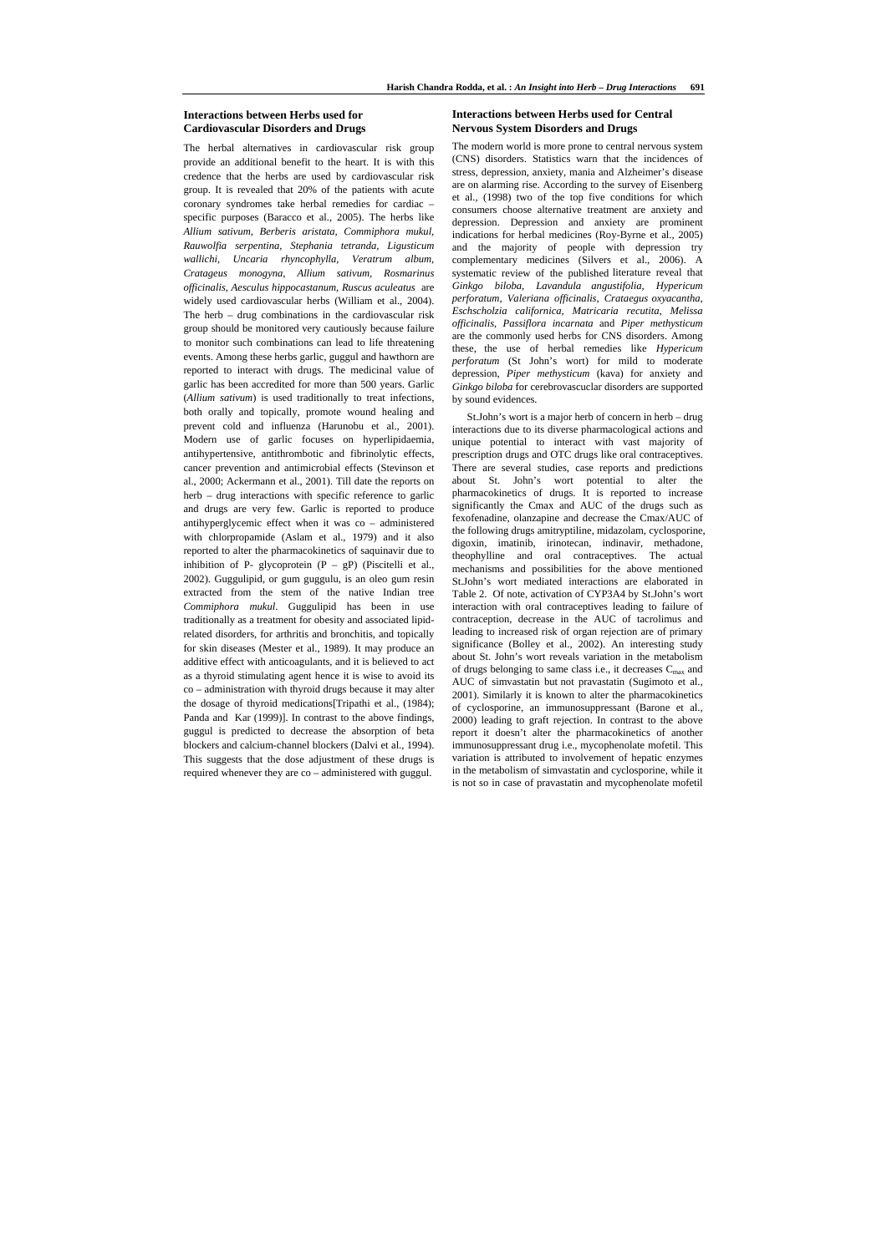# **Interactions between Herbs used for Cardiovascular Disorders and Drugs**

The herbal alternatives in cardiovascular risk group provide an additional benefit to the heart. It is with this credence that the herbs are used by cardiovascular risk group. It is revealed that 20% of the patients with acute coronary syndromes take herbal remedies for cardiac – specific purposes (Baracco et al., 2005). The herbs like *Allium sativum, Berberis aristata, Commiphora mukul, Rauwolfia serpentina, Stephania tetranda, Ligusticum wallichi, Uncaria rhyncophylla, Veratrum album, Cratageus monogyna, Allium sativum, Rosmarinus officinalis, Aesculus hippocastanum, Ruscus aculeatus* are widely used cardiovascular herbs (William et al., 2004). The herb – drug combinations in the cardiovascular risk group should be monitored very cautiously because failure to monitor such combinations can lead to life threatening events. Among these herbs garlic, guggul and hawthorn are reported to interact with drugs. The medicinal value of garlic has been accredited for more than 500 years. Garlic (*Allium sativum*) is used traditionally to treat infections, both orally and topically, promote wound healing and prevent cold and influenza (Harunobu et al., 2001). Modern use of garlic focuses on hyperlipidaemia, antihypertensive, antithrombotic and fibrinolytic effects, cancer prevention and antimicrobial effects (Stevinson et al., 2000; Ackermann et al., 2001). Till date the reports on herb – drug interactions with specific reference to garlic and drugs are very few. Garlic is reported to produce antihyperglycemic effect when it was co – administered with chlorpropamide (Aslam et al., 1979) and it also reported to alter the pharmacokinetics of saquinavir due to inhibition of P- glycoprotein  $(P - gP)$  (Piscitelli et al., 2002). Guggulipid, or gum guggulu, is an oleo gum resin extracted from the stem of the native Indian tree *Commiphora mukul*. Guggulipid has been in use traditionally as a treatment for obesity and associated lipidrelated disorders, for arthritis and bronchitis, and topically for skin diseases (Mester et al., 1989). It may produce an additive effect with anticoagulants, and it is believed to act as a thyroid stimulating agent hence it is wise to avoid its co – administration with thyroid drugs because it may alter the dosage of thyroid medications[Tripathi et al., (1984); Panda and Kar (1999)]. In contrast to the above findings, guggul is predicted to decrease the absorption of beta blockers and calcium-channel blockers (Dalvi et al., 1994). This suggests that the dose adjustment of these drugs is required whenever they are co – administered with guggul.

# **Interactions between Herbs used for Central Nervous System Disorders and Drugs**

The modern world is more prone to central nervous system (CNS) disorders. Statistics warn that the incidences of stress, depression, anxiety, mania and Alzheimer's disease are on alarming rise. According to the survey of Eisenberg et al., (1998) two of the top five conditions for which consumers choose alternative treatment are anxiety and depression. Depression and anxiety are prominent indications for herbal medicines (Roy-Byrne et al., 2005) and the majority of people with depression try complementary medicines (Silvers et al., 2006). A systematic review of the published literature reveal that *Ginkgo biloba*, *Lavandula angustifolia*, *Hypericum perforatum*, *Valeriana officinalis*, *Crataegus oxyacantha*, *Eschscholzia californica, Matricaria recutita*, *Melissa officinalis*, *Passiflora incarnata* and *Piper methysticum*  are the commonly used herbs for CNS disorders. Among these, the use of herbal remedies like *Hypericum perforatum* (St John's wort) for mild to moderate depression, *Piper methysticum* (kava) for anxiety and *Ginkgo biloba* for cerebrovascuclar disorders are supported by sound evidences.

 St.John's wort is a major herb of concern in herb – drug interactions due to its diverse pharmacological actions and unique potential to interact with vast majority of prescription drugs and OTC drugs like oral contraceptives. There are several studies, case reports and predictions about St. John's wort potential to alter the pharmacokinetics of drugs. It is reported to increase significantly the Cmax and AUC of the drugs such as fexofenadine, olanzapine and decrease the Cmax/AUC of the following drugs amitryptiline, midazolam, cyclosporine, digoxin, imatinib, irinotecan, indinavir, methadone, theophylline and oral contraceptives. The actual mechanisms and possibilities for the above mentioned St.John's wort mediated interactions are elaborated in Table 2. Of note, activation of CYP3A4 by St.John's wort interaction with oral contraceptives leading to failure of contraception, decrease in the AUC of tacrolimus and leading to increased risk of organ rejection are of primary significance (Bolley et al., 2002). An interesting study about St. John's wort reveals variation in the metabolism of drugs belonging to same class i.e., it decreases  $C_{\text{max}}$  and AUC of simvastatin but not pravastatin (Sugimoto et al., 2001). Similarly it is known to alter the pharmacokinetics of cyclosporine, an immunosuppressant (Barone et al., 2000) leading to graft rejection. In contrast to the above report it doesn't alter the pharmacokinetics of another immunosuppressant drug i.e., mycophenolate mofetil. This variation is attributed to involvement of hepatic enzymes in the metabolism of simvastatin and cyclosporine, while it is not so in case of pravastatin and mycophenolate mofetil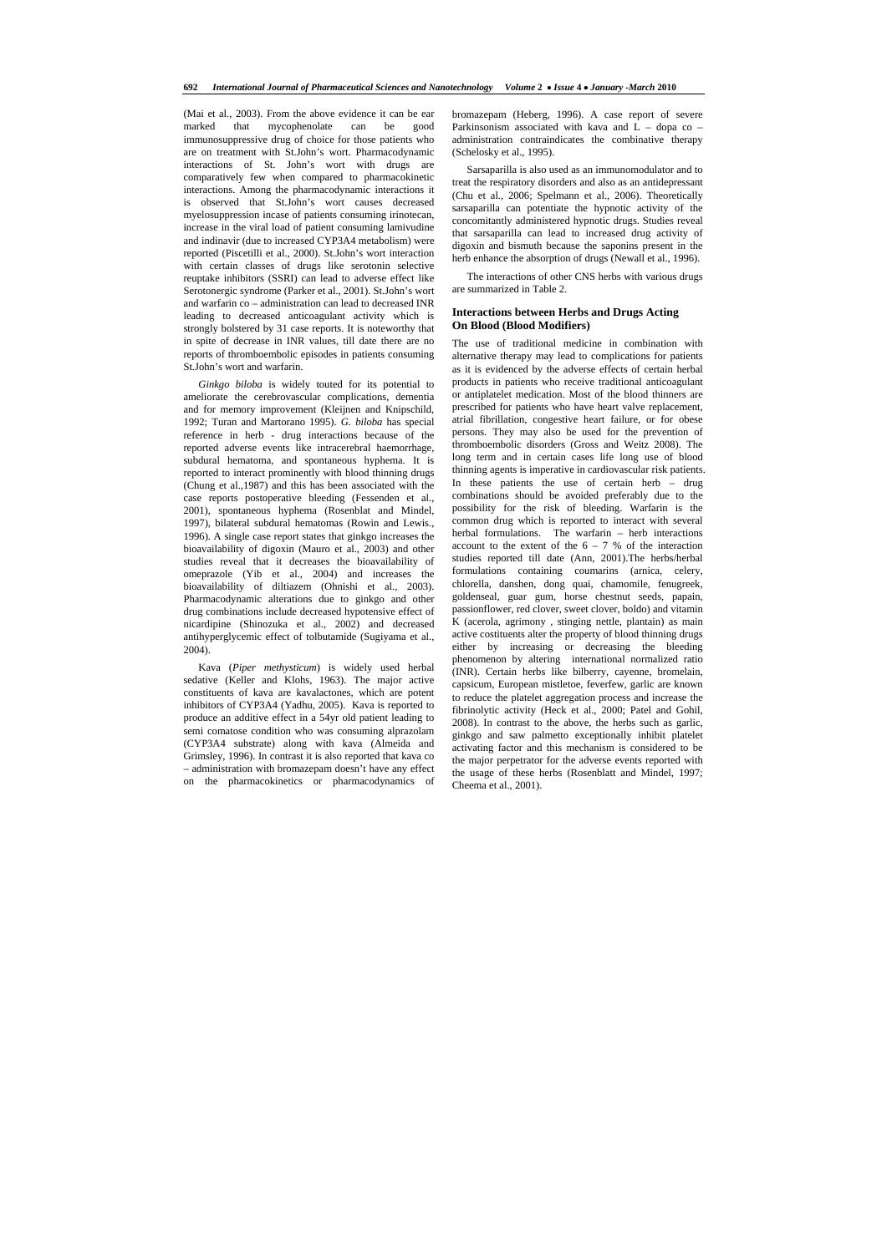(Mai et al., 2003). From the above evidence it can be ear marked that mycophenolate can be good immunosuppressive drug of choice for those patients who are on treatment with St.John's wort. Pharmacodynamic interactions of St. John's wort with drugs are comparatively few when compared to pharmacokinetic interactions. Among the pharmacodynamic interactions it is observed that St.John's wort causes decreased myelosuppression incase of patients consuming irinotecan, increase in the viral load of patient consuming lamivudine and indinavir (due to increased CYP3A4 metabolism) were reported (Piscetilli et al., 2000). St.John's wort interaction with certain classes of drugs like serotonin selective reuptake inhibitors (SSRI) can lead to adverse effect like Serotonergic syndrome (Parker et al., 2001). St.John's wort and warfarin co – administration can lead to decreased INR leading to decreased anticoagulant activity which is strongly bolstered by 31 case reports. It is noteworthy that in spite of decrease in INR values, till date there are no reports of thromboembolic episodes in patients consuming St.John's wort and warfarin.

 *Ginkgo biloba* is widely touted for its potential to ameliorate the cerebrovascular complications, dementia and for memory improvement (Kleijnen and Knipschild, 1992; Turan and Martorano 1995). *G. biloba* has special reference in herb - drug interactions because of the reported adverse events like intracerebral haemorrhage, subdural hematoma, and spontaneous hyphema. It is reported to interact prominently with blood thinning drugs (Chung et al.,1987) and this has been associated with the case reports postoperative bleeding (Fessenden et al., 2001), spontaneous hyphema (Rosenblat and Mindel, 1997), bilateral subdural hematomas (Rowin and Lewis., 1996). A single case report states that ginkgo increases the bioavailability of digoxin (Mauro et al., 2003) and other studies reveal that it decreases the bioavailability of omeprazole (Yib et al., 2004) and increases the bioavailability of diltiazem (Ohnishi et al., 2003). Pharmacodynamic alterations due to ginkgo and other drug combinations include decreased hypotensive effect of nicardipine (Shinozuka et al., 2002) and decreased antihyperglycemic effect of tolbutamide (Sugiyama et al., 2004).

 Kava (*Piper methysticum*) is widely used herbal sedative (Keller and Klohs, 1963). The major active constituents of kava are kavalactones, which are potent inhibitors of CYP3A4 (Yadhu, 2005). Kava is reported to produce an additive effect in a 54yr old patient leading to semi comatose condition who was consuming alprazolam (CYP3A4 substrate) along with kava (Almeida and Grimsley, 1996). In contrast it is also reported that kava co – administration with bromazepam doesn't have any effect on the pharmacokinetics or pharmacodynamics of bromazepam (Heberg, 1996). A case report of severe Parkinsonism associated with kava and L – dopa co – administration contraindicates the combinative therapy (Schelosky et al., 1995).

 Sarsaparilla is also used as an immunomodulator and to treat the respiratory disorders and also as an antidepressant (Chu et al., 2006; Spelmann et al., 2006). Theoretically sarsaparilla can potentiate the hypnotic activity of the concomitantly administered hypnotic drugs. Studies reveal that sarsaparilla can lead to increased drug activity of digoxin and bismuth because the saponins present in the herb enhance the absorption of drugs (Newall et al., 1996).

 The interactions of other CNS herbs with various drugs are summarized in Table 2.

## **Interactions between Herbs and Drugs Acting On Blood (Blood Modifiers)**

The use of traditional medicine in combination with alternative therapy may lead to complications for patients as it is evidenced by the adverse effects of certain herbal products in patients who receive traditional anticoagulant or antiplatelet medication. Most of the blood thinners are prescribed for patients who have heart valve replacement, atrial fibrillation, congestive heart failure, or for obese persons. They may also be used for the prevention of thromboembolic disorders (Gross and Weitz 2008). The long term and in certain cases life long use of blood thinning agents is imperative in cardiovascular risk patients. In these patients the use of certain herb – drug combinations should be avoided preferably due to the possibility for the risk of bleeding. Warfarin is the common drug which is reported to interact with several herbal formulations. The warfarin – herb interactions account to the extent of the  $6 - 7$  % of the interaction studies reported till date (Ann, 2001).The herbs/herbal formulations containing coumarins (arnica, celery, chlorella, danshen, dong quai, chamomile, fenugreek, goldenseal, guar gum, horse chestnut seeds, papain, passionflower, red clover, sweet clover, boldo) and vitamin K (acerola, agrimony , stinging nettle, plantain) as main active costituents alter the property of blood thinning drugs either by increasing or decreasing the bleeding phenomenon by altering international normalized ratio (INR). Certain herbs like bilberry, cayenne, bromelain, capsicum, European mistletoe, feverfew, garlic are known to reduce the platelet aggregation process and increase the fibrinolytic activity (Heck et al., 2000; Patel and Gohil, 2008). In contrast to the above, the herbs such as garlic, ginkgo and saw palmetto exceptionally inhibit platelet activating factor and this mechanism is considered to be the major perpetrator for the adverse events reported with the usage of these herbs (Rosenblatt and Mindel, 1997; Cheema et al., 2001).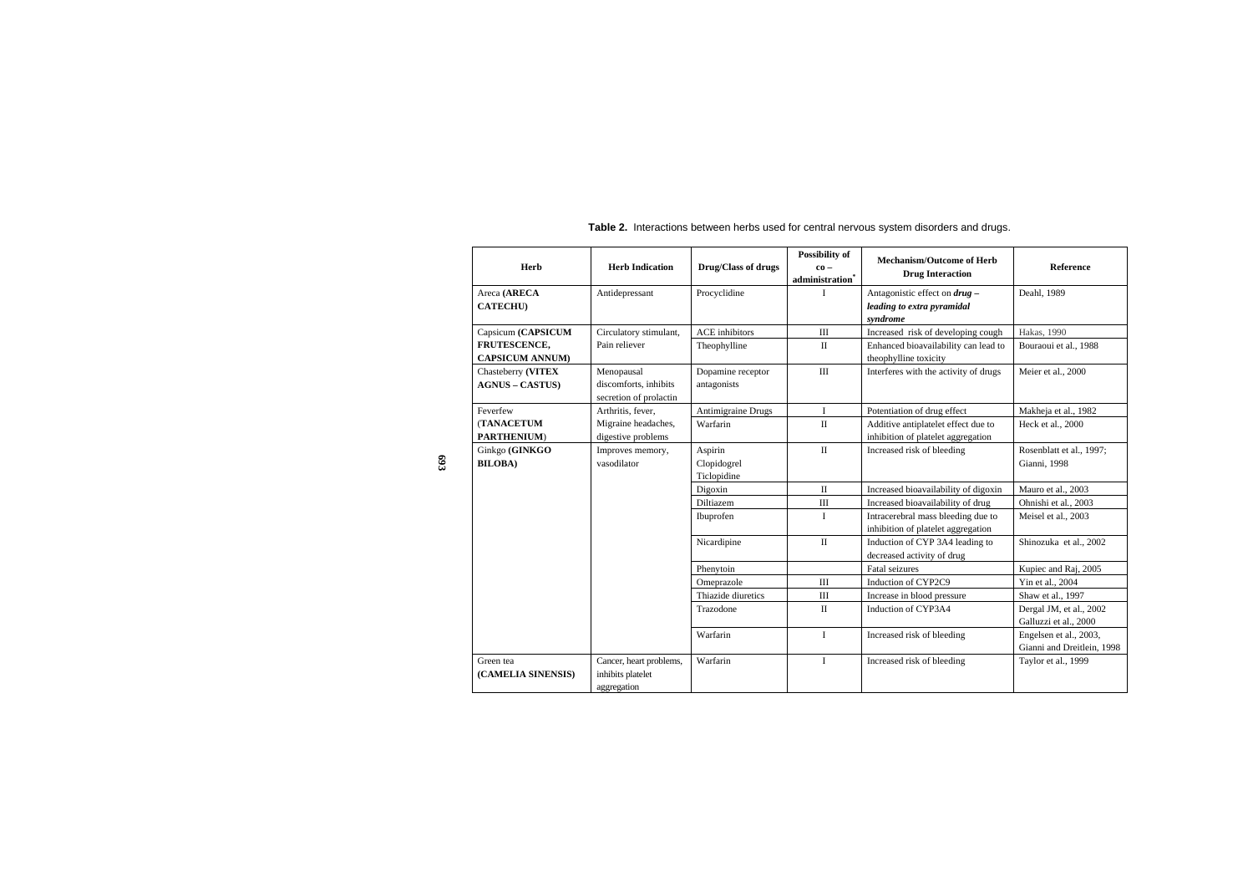**Table 2.** Interactions between herbs used for central nervous system disorders and drugs.

| Herb                                         | <b>Herb Indication</b>                                        | Drug/Class of drugs                   | <b>Possibility of</b><br>$\mathbf{c}\mathbf{o}$ –<br>administration | <b>Mechanism/Outcome of Herb</b><br><b>Drug Interaction</b>               | <b>Reference</b>                                     |
|----------------------------------------------|---------------------------------------------------------------|---------------------------------------|---------------------------------------------------------------------|---------------------------------------------------------------------------|------------------------------------------------------|
| Areca (ARECA<br><b>CATECHU</b> )             | Antidepressant                                                | Procyclidine                          | $\bf{I}$                                                            | Antagonistic effect on drug -<br>leading to extra pyramidal<br>syndrome   | Deahl, 1989                                          |
| Capsicum (CAPSICUM                           | Circulatory stimulant,                                        | <b>ACE</b> inhibitors                 | III                                                                 | Increased risk of developing cough                                        | Hakas, 1990                                          |
| FRUTESCENCE,<br><b>CAPSICUM ANNUM)</b>       | Pain reliever                                                 | Theophylline                          | $\mathbf{I}$                                                        | Enhanced bioavailability can lead to<br>theophylline toxicity             | Bouraoui et al., 1988                                |
| Chasteberry (VITEX<br><b>AGNUS – CASTUS)</b> | Menopausal<br>discomforts, inhibits<br>secretion of prolactin | Dopamine receptor<br>antagonists      | III                                                                 | Interferes with the activity of drugs                                     | Meier et al., 2000                                   |
| Feverfew                                     | Arthritis, fever,                                             | <b>Antimigraine Drugs</b>             | $\mathbf{I}$                                                        | Potentiation of drug effect                                               | Makheja et al., 1982                                 |
| <b>(TANACETUM</b><br>PARTHENIUM)             | Migraine headaches,<br>digestive problems                     | Warfarin                              | $\mathbf{I}$                                                        | Additive antiplatelet effect due to<br>inhibition of platelet aggregation | Heck et al., 2000                                    |
| Ginkgo (GINKGO<br><b>BILOBA)</b>             | Improves memory,<br>vasodilator                               | Aspirin<br>Clopidogrel<br>Ticlopidine | $\mathbf{I}$                                                        | Increased risk of bleeding                                                | Rosenblatt et al., 1997;<br>Gianni, 1998             |
|                                              |                                                               | Digoxin                               | $\mathbf{I}$                                                        | Increased bioavailability of digoxin                                      | Mauro et al., 2003                                   |
|                                              |                                                               | Diltiazem                             | $\rm III$                                                           | Increased bioavailability of drug                                         | Ohnishi et al., 2003                                 |
|                                              |                                                               | Ibuprofen                             | $\bf{I}$                                                            | Intracerebral mass bleeding due to<br>inhibition of platelet aggregation  | Meisel et al., 2003                                  |
|                                              |                                                               | Nicardipine                           | $\mathbf{I}$                                                        | Induction of CYP 3A4 leading to<br>decreased activity of drug             | Shinozuka et al., 2002                               |
|                                              |                                                               | Phenytoin                             |                                                                     | Fatal seizures                                                            | Kupiec and Raj, 2005                                 |
|                                              |                                                               | Omeprazole                            | III                                                                 | Induction of CYP2C9                                                       | Yin et al., 2004                                     |
|                                              |                                                               | Thiazide diuretics                    | Ш                                                                   | Increase in blood pressure                                                | Shaw et al., 1997                                    |
|                                              |                                                               | Trazodone                             | $\mathbf{I}$                                                        | Induction of CYP3A4                                                       | Dergal JM, et al., 2002<br>Galluzzi et al., 2000     |
|                                              |                                                               | Warfarin                              | $\mathbf{I}$                                                        | Increased risk of bleeding                                                | Engelsen et al., 2003,<br>Gianni and Dreitlein, 1998 |
| Green tea<br>(CAMELIA SINENSIS)              | Cancer, heart problems,<br>inhibits platelet<br>aggregation   | Warfarin                              | $\bf{I}$                                                            | Increased risk of bleeding                                                | Taylor et al., 1999                                  |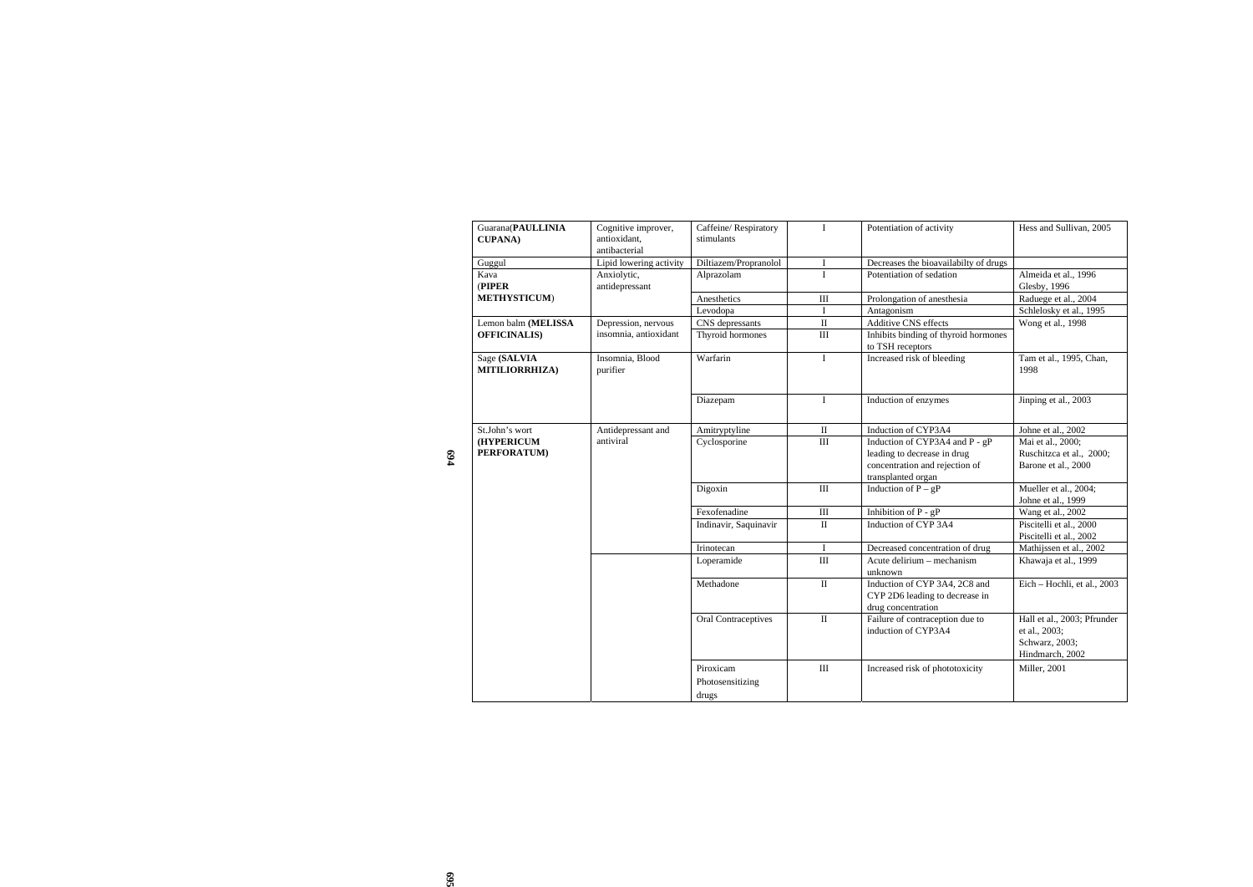|     | Guarana(PAULLINIA<br><b>CUPANA</b> ) | Cognitive improver,<br>antioxidant,<br>antibacterial | Caffeine/Respiratory<br>stimulants     | $\mathbf I$  | Potentiation of activity                                                                                              | Hess and Sullivan, 2005                                                           |
|-----|--------------------------------------|------------------------------------------------------|----------------------------------------|--------------|-----------------------------------------------------------------------------------------------------------------------|-----------------------------------------------------------------------------------|
|     | Guggul                               | Lipid lowering activity                              | Diltiazem/Propranolol                  | I            | Decreases the bioavailabilty of drugs                                                                                 |                                                                                   |
|     | Kava<br>(PIPER                       | Anxiolytic,<br>antidepressant                        | Alprazolam                             | $\mathbf{I}$ | Potentiation of sedation                                                                                              | Almeida et al., 1996<br>Glesby, 1996                                              |
|     | METHYSTICUM)                         |                                                      | Anesthetics                            | Ш            | Prolongation of anesthesia                                                                                            | Raduege et al., 2004                                                              |
|     |                                      |                                                      | Levodopa                               | $\mathbf I$  | Antagonism                                                                                                            | Schlelosky et al., 1995                                                           |
|     | Lemon balm (MELISSA                  | Depression, nervous                                  | CNS depressants                        | $\rm II$     | Additive CNS effects                                                                                                  | Wong et al., 1998                                                                 |
|     | <b>OFFICINALIS)</b>                  | insomnia, antioxidant                                | Thyroid hormones                       | $\rm III$    | Inhibits binding of thyroid hormones<br>to TSH receptors                                                              |                                                                                   |
|     | Sage (SALVIA<br>MITILIORRHIZA)       | Insomnia, Blood<br>purifier                          | Warfarin                               | $\mathbf I$  | Increased risk of bleeding                                                                                            | Tam et al., 1995, Chan,<br>1998                                                   |
|     |                                      |                                                      | Diazepam                               | $\mathbf I$  | Induction of enzymes                                                                                                  | Jinping et al., 2003                                                              |
|     | St.John's wort                       | Antidepressant and                                   | Amitryptyline                          | $\rm II$     | Induction of CYP3A4                                                                                                   | Johne et al., 2002                                                                |
| 694 | (HYPERICUM<br>PERFORATUM)            | antiviral                                            | Cyclosporine                           | $\rm III$    | Induction of CYP3A4 and P - gP<br>leading to decrease in drug<br>concentration and rejection of<br>transplanted organ | Mai et al., 2000;<br>Ruschitzca et al., 2000;<br>Barone et al., 2000              |
|     |                                      |                                                      | Digoxin                                | $\rm III$    | Induction of $P - gP$                                                                                                 | Mueller et al., 2004;<br>Johne et al., 1999                                       |
|     |                                      |                                                      | Fexofenadine                           | $\rm III$    | Inhibition of P - gP                                                                                                  | Wang et al., 2002                                                                 |
|     |                                      |                                                      | Indinavir, Saquinavir                  | $\rm II$     | Induction of CYP 3A4                                                                                                  | Piscitelli et al., 2000<br>Piscitelli et al., 2002                                |
|     |                                      |                                                      | Irinotecan                             | Ι.           | Decreased concentration of drug                                                                                       | Mathijssen et al., 2002                                                           |
|     |                                      |                                                      | Loperamide                             | $\rm III$    | Acute delirium - mechanism<br>unknown                                                                                 | Khawaja et al., 1999                                                              |
|     |                                      |                                                      | Methadone                              | $\rm II$     | Induction of CYP 3A4, 2C8 and<br>CYP 2D6 leading to decrease in<br>drug concentration                                 | Eich - Hochli, et al., 2003                                                       |
|     |                                      |                                                      | Oral Contraceptives                    | $\rm II$     | Failure of contraception due to<br>induction of CYP3A4                                                                | Hall et al., 2003; Pfrunder<br>et al., 2003;<br>Schwarz, 2003;<br>Hindmarch, 2002 |
|     |                                      |                                                      | Piroxicam<br>Photosensitizing<br>drugs | $\rm III$    | Increased risk of phototoxicity                                                                                       | Miller, 2001                                                                      |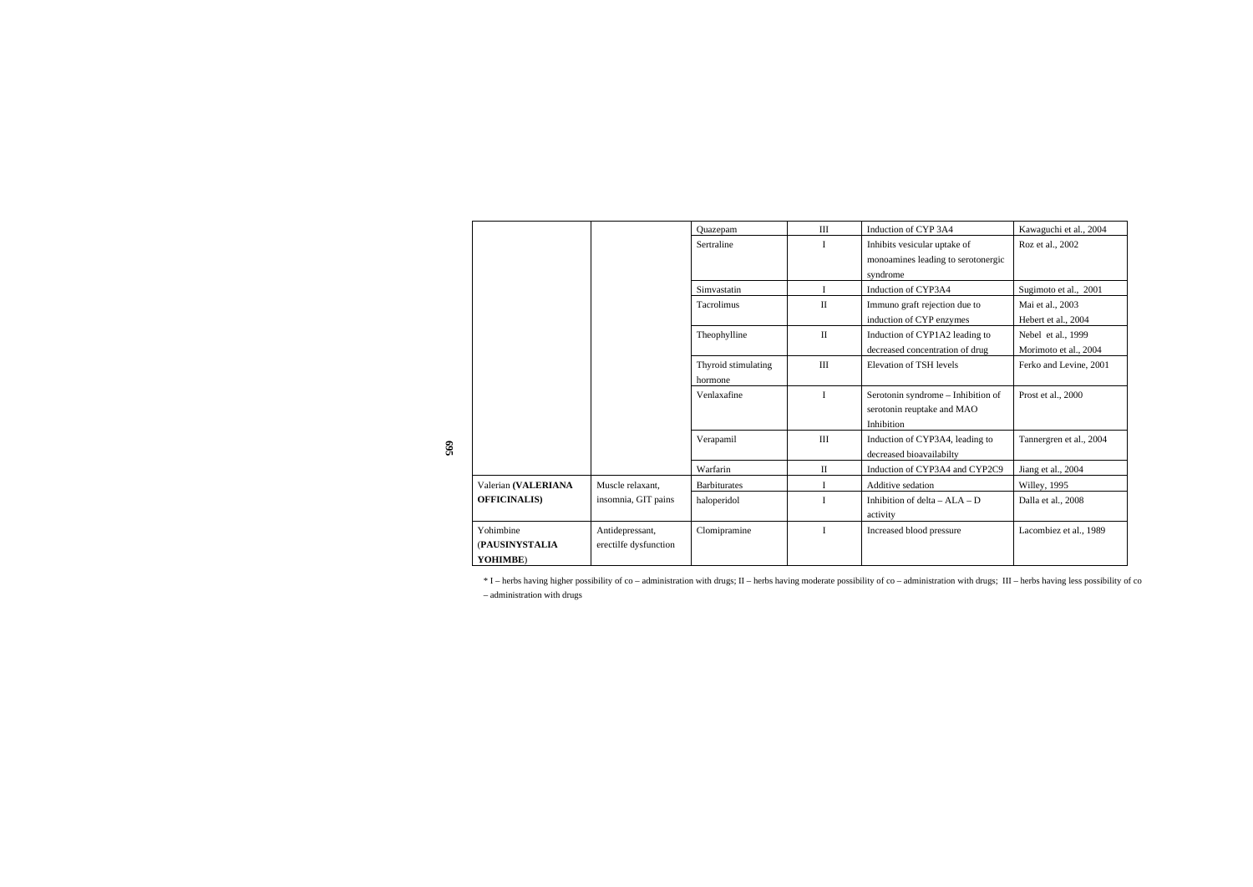|                       |                       | Quazepam            | III          | Induction of CYP 3A4               | Kawaguchi et al., 2004  |
|-----------------------|-----------------------|---------------------|--------------|------------------------------------|-------------------------|
|                       |                       | Sertraline          | I            | Inhibits vesicular uptake of       | Roz et al., 2002        |
|                       |                       |                     |              | monoamines leading to serotonergic |                         |
|                       |                       |                     |              | syndrome                           |                         |
|                       |                       | Simvastatin         | $\mathbf I$  | Induction of CYP3A4                | Sugimoto et al., 2001   |
|                       |                       | Tacrolimus          | $\mathbf{I}$ | Immuno graft rejection due to      | Mai et al., 2003        |
|                       |                       |                     |              | induction of CYP enzymes           | Hebert et al., 2004     |
|                       |                       | Theophylline        | $\mathbf{I}$ | Induction of CYP1A2 leading to     | Nebel et al., 1999      |
|                       |                       |                     |              | decreased concentration of drug    | Morimoto et al., 2004   |
|                       |                       | Thyroid stimulating | III          | Elevation of TSH levels            | Ferko and Levine, 2001  |
|                       |                       | hormone             |              |                                    |                         |
|                       |                       | Venlaxafine         | $\mathbf{I}$ | Serotonin syndrome - Inhibition of | Prost et al., 2000      |
|                       |                       |                     |              | serotonin reuptake and MAO         |                         |
|                       |                       |                     |              | Inhibition                         |                         |
|                       |                       | Verapamil           | III          | Induction of CYP3A4, leading to    | Tannergren et al., 2004 |
|                       |                       |                     |              | decreased bioavailabilty           |                         |
|                       |                       | Warfarin            | $\rm II$     | Induction of CYP3A4 and CYP2C9     | Jiang et al., 2004      |
| Valerian (VALERIANA   | Muscle relaxant,      | <b>Barbiturates</b> | $\mathbf{I}$ | Additive sedation                  | Willey, 1995            |
| <b>OFFICINALIS)</b>   | insomnia, GIT pains   | haloperidol         | I            | Inhibition of delta $-ALA - D$     | Dalla et al., 2008      |
|                       |                       |                     |              | activity                           |                         |
| Yohimbine             | Antidepressant,       | Clomipramine        | I            | Increased blood pressure           | Lacombiez et al., 1989  |
| <b>(PAUSINYSTALIA</b> | erectilfe dysfunction |                     |              |                                    |                         |
| YOHIMBE)              |                       |                     |              |                                    |                         |

\* I – herbs having higher possibility of co – administration with drugs; II – herbs having moderate possibility of co – administration with drugs; III – herbs having less possibility of co – administration with drugs

**695**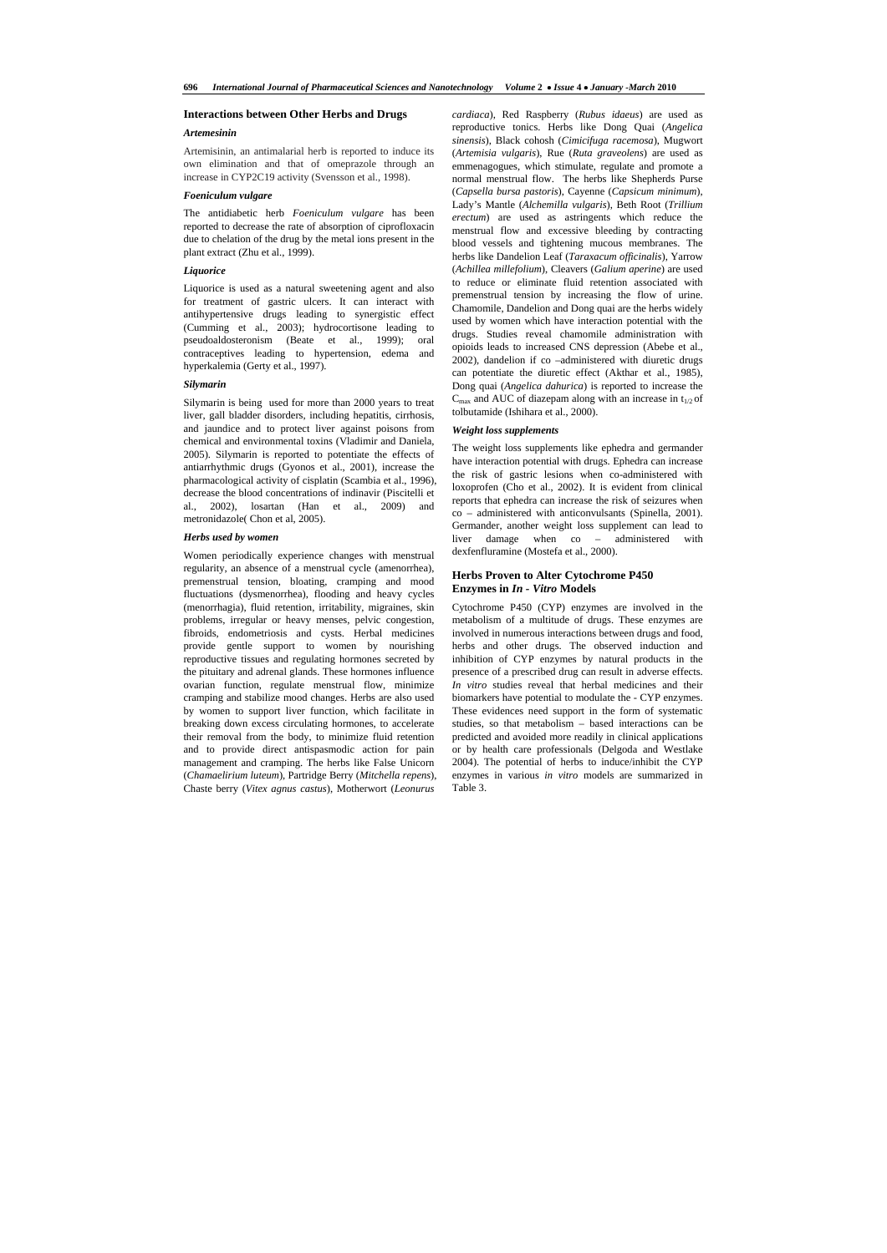# **Interactions between Other Herbs and Drugs**

## *Artemesinin*

Artemisinin, an antimalarial herb is reported to induce its own elimination and that of omeprazole through an increase in CYP2C19 activity (Svensson et al., 1998).

## *Foeniculum vulgare*

The antidiabetic herb *Foeniculum vulgare* has been reported to decrease the rate of absorption of ciprofloxacin due to chelation of the drug by the metal ions present in the plant extract (Zhu et al., 1999).

#### *Liquorice*

Liquorice is used as a natural sweetening agent and also for treatment of gastric ulcers. It can interact with antihypertensive drugs leading to synergistic effect (Cumming et al., 2003); hydrocortisone leading to pseudoaldosteronism (Beate et al., 1999); oral contraceptives leading to hypertension, edema and hyperkalemia (Gerty et al., 1997).

## *Silymarin*

Silymarin is being used for more than 2000 years to treat liver, gall bladder disorders, including hepatitis, cirrhosis, and jaundice and to protect liver against poisons from chemical and environmental toxins (Vladimir and Daniela, 2005). Silymarin is reported to potentiate the effects of antiarrhythmic drugs (Gyonos et al., 2001), increase the pharmacological activity of cisplatin (Scambia et al., 1996), decrease the blood concentrations of indinavir (Piscitelli et al., 2002), losartan (Han et al., 2009) and metronidazole( Chon et al, 2005).

#### *Herbs used by women*

Women periodically experience changes with menstrual regularity, an absence of a menstrual cycle (amenorrhea), premenstrual tension, bloating, cramping and mood fluctuations (dysmenorrhea), flooding and heavy cycles (menorrhagia), fluid retention, irritability, migraines, skin problems, irregular or heavy menses, pelvic congestion, fibroids, endometriosis and cysts. Herbal medicines provide gentle support to women by nourishing reproductive tissues and regulating hormones secreted by the pituitary and adrenal glands. These hormones influence ovarian function, regulate menstrual flow, minimize cramping and stabilize mood changes. Herbs are also used by women to support liver function, which facilitate in breaking down excess circulating hormones, to accelerate their removal from the body, to minimize fluid retention and to provide direct antispasmodic action for pain management and cramping. The herbs like False Unicorn (*Chamaelirium luteum*), Partridge Berry (*Mitchella repens*), Chaste berry (*Vitex agnus castus*), Motherwort (*Leonurus* 

*cardiaca*), Red Raspberry (*Rubus idaeus*) are used as reproductive tonics. Herbs like Dong Quai (*Angelica sinensis*), Black cohosh (*Cimicifuga racemosa*), Mugwort (*Artemisia vulgaris*), Rue (*Ruta graveolens*) are used as emmenagogues, which stimulate, regulate and promote a normal menstrual flow. The herbs like Shepherds Purse (*Capsella bursa pastoris*), Cayenne (*Capsicum minimum*), Lady's Mantle (*Alchemilla vulgaris*), Beth Root (*Trillium erectum*) are used as astringents which reduce the menstrual flow and excessive bleeding by contracting blood vessels and tightening mucous membranes. The herbs like Dandelion Leaf (*Taraxacum officinalis*), Yarrow (*Achillea millefolium*), Cleavers (*Galium aperine*) are used to reduce or eliminate fluid retention associated with premenstrual tension by increasing the flow of urine. Chamomile, Dandelion and Dong quai are the herbs widely used by women which have interaction potential with the drugs. Studies reveal chamomile administration with opioids leads to increased CNS depression (Abebe et al., 2002), dandelion if co –administered with diuretic drugs can potentiate the diuretic effect (Akthar et al., 1985), Dong quai (*Angelica dahurica*) is reported to increase the  $C_{\text{max}}$  and AUC of diazepam along with an increase in t<sub>1/2</sub> of tolbutamide (Ishihara et al., 2000).

#### *Weight loss supplements*

The weight loss supplements like ephedra and germander have interaction potential with drugs. Ephedra can increase the risk of gastric lesions when co-administered with loxoprofen (Cho et al., 2002). It is evident from clinical reports that ephedra can increase the risk of seizures when co – administered with anticonvulsants (Spinella, 2001). Germander, another weight loss supplement can lead to liver damage when co – administered with dexfenfluramine (Mostefa et al., 2000).

## **Herbs Proven to Alter Cytochrome P450 Enzymes in** *In - Vitro* **Models**

Cytochrome P450 (CYP) enzymes are involved in the metabolism of a multitude of drugs. These enzymes are involved in numerous interactions between drugs and food, herbs and other drugs. The observed induction and inhibition of CYP enzymes by natural products in the presence of a prescribed drug can result in adverse effects. *In vitro* studies reveal that herbal medicines and their biomarkers have potential to modulate the - CYP enzymes. These evidences need support in the form of systematic studies, so that metabolism – based interactions can be predicted and avoided more readily in clinical applications or by health care professionals (Delgoda and Westlake 2004). The potential of herbs to induce/inhibit the CYP enzymes in various *in vitro* models are summarized in Table 3.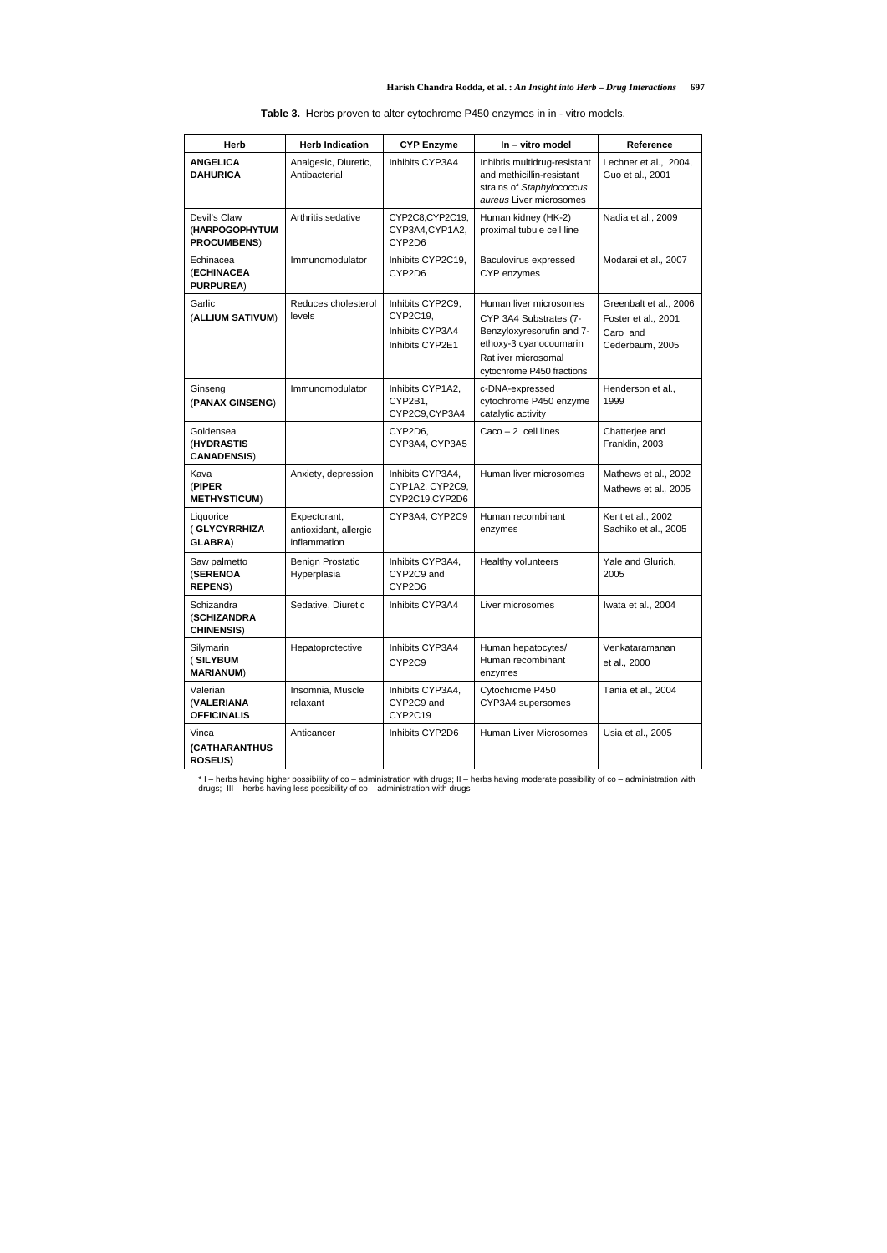|  | $\frac{1}{1000}$ $\frac{1}{1000}$ $\frac{1}{1000}$ $\frac{1}{1000}$ $\frac{1}{1000}$ $\frac{1}{1000}$ $\frac{1}{1000}$ $\frac{1}{1000}$ $\frac{1}{1000}$ |  |
|--|----------------------------------------------------------------------------------------------------------------------------------------------------------|--|
|  | <b>Table 3.</b> Herbs proven to alter cytochrome P450 enzymes in in - vitro models.                                                                      |  |
|  |                                                                                                                                                          |  |

\* I – herbs having higher possibility of co – administration with drugs; II – herbs having moderate possibility of co – administration with drugs; III – herbs having less possibility of co – administration with drugs

| <b>Herb</b>                                           | <b>Herb Indication</b>                                | <b>CYP Enzyme</b>                                                  | In - vitro model                                                                                                                                            | Reference                                                                    |
|-------------------------------------------------------|-------------------------------------------------------|--------------------------------------------------------------------|-------------------------------------------------------------------------------------------------------------------------------------------------------------|------------------------------------------------------------------------------|
| <b>ANGELICA</b><br><b>DAHURICA</b>                    | Analgesic, Diuretic,<br>Antibacterial                 | Inhibits CYP3A4                                                    | Inhibtis multidrug-resistant<br>and methicillin-resistant<br>strains of Staphylococcus<br>aureus Liver microsomes                                           | Lechner et al., 2004,<br>Guo et al., 2001                                    |
| Devil's Claw<br>(HARPOGOPHYTUM<br><b>PROCUMBENS)</b>  | Arthritis, sedative                                   | CYP2C8,CYP2C19,<br>CYP3A4, CYP1A2,<br>CYP2D6                       | Human kidney (HK-2)<br>proximal tubule cell line                                                                                                            | Nadia et al., 2009                                                           |
| Echinacea<br>(ECHINACEA<br><b>PURPUREA)</b>           | Immunomodulator                                       | Inhibits CYP2C19,<br>CYP2D6                                        | Baculovirus expressed<br>CYP enzymes                                                                                                                        | Modarai et al., 2007                                                         |
| Garlic<br>(ALLIUM SATIVUM)                            | Reduces cholesterol<br>levels                         | Inhibits CYP2C9,<br>CYP2C19,<br>Inhibits CYP3A4<br>Inhibits CYP2E1 | Human liver microsomes<br>CYP 3A4 Substrates (7-<br>Benzyloxyresorufin and 7-<br>ethoxy-3 cyanocoumarin<br>Rat iver microsomal<br>cytochrome P450 fractions | Greenbalt et al., 2006<br>Foster et al., 2001<br>Caro and<br>Cederbaum, 2005 |
| Ginseng<br>(PANAX GINSENG)                            | Immunomodulator                                       | Inhibits CYP1A2,<br>CYP2B1,<br>CYP2C9,CYP3A4                       | c-DNA-expressed<br>cytochrome P450 enzyme<br>catalytic activity                                                                                             | Henderson et al.,<br>1999                                                    |
| Goldenseal<br>(HYDRASTIS<br><b>CANADENSIS)</b>        |                                                       | CYP2D6,<br>CYP3A4, CYP3A5                                          | $Caco - 2$ cell lines                                                                                                                                       | Chatterjee and<br>Franklin, 2003                                             |
| Kava<br>(PIPER<br><b>METHYSTICUM)</b>                 | Anxiety, depression                                   | Inhibits CYP3A4,<br>CYP1A2, CYP2C9,<br>CYP2C19,CYP2D6              | Human liver microsomes                                                                                                                                      | Mathews et al., 2002<br>Mathews et al., 2005                                 |
| Liquorice<br>(GLYCYRRHIZA<br><b>GLABRA)</b>           | Expectorant,<br>antioxidant, allergic<br>inflammation | CYP3A4, CYP2C9                                                     | Human recombinant<br>enzymes                                                                                                                                | Kent et al., 2002<br>Sachiko et al., 2005                                    |
| Saw palmetto<br>(SERENOA<br><b>REPENS)</b>            | <b>Benign Prostatic</b><br>Hyperplasia                | Inhibits CYP3A4,<br>CYP2C9 and<br>CYP2D6                           | Healthy volunteers                                                                                                                                          | Yale and Glurich,<br>2005                                                    |
| Schizandra<br><b>(SCHIZANDRA</b><br><b>CHINENSIS)</b> | Sedative, Diuretic                                    | Inhibits CYP3A4                                                    | Liver microsomes                                                                                                                                            | Iwata et al., 2004                                                           |
| Silymarin<br>(SILYBUM<br><b>MARIANUM)</b>             | Hepatoprotective                                      | Inhibits CYP3A4<br>CYP2C9                                          | Human hepatocytes/<br>Human recombinant<br>enzymes                                                                                                          | Venkataramanan<br>et al., 2000                                               |
| Valerian<br>(VALERIANA<br><b>OFFICINALIS</b>          | Insomnia, Muscle<br>relaxant                          | Inhibits CYP3A4,<br>CYP2C9 and<br>CYP2C19                          | Cytochrome P450<br>CYP3A4 supersomes                                                                                                                        | Tania et al., 2004                                                           |
| Vinca<br><b>(CATHARANTHUS</b><br><b>ROSEUS)</b>       | Anticancer                                            | Inhibits CYP2D6                                                    | Human Liver Microsomes                                                                                                                                      | Usia et al., 2005                                                            |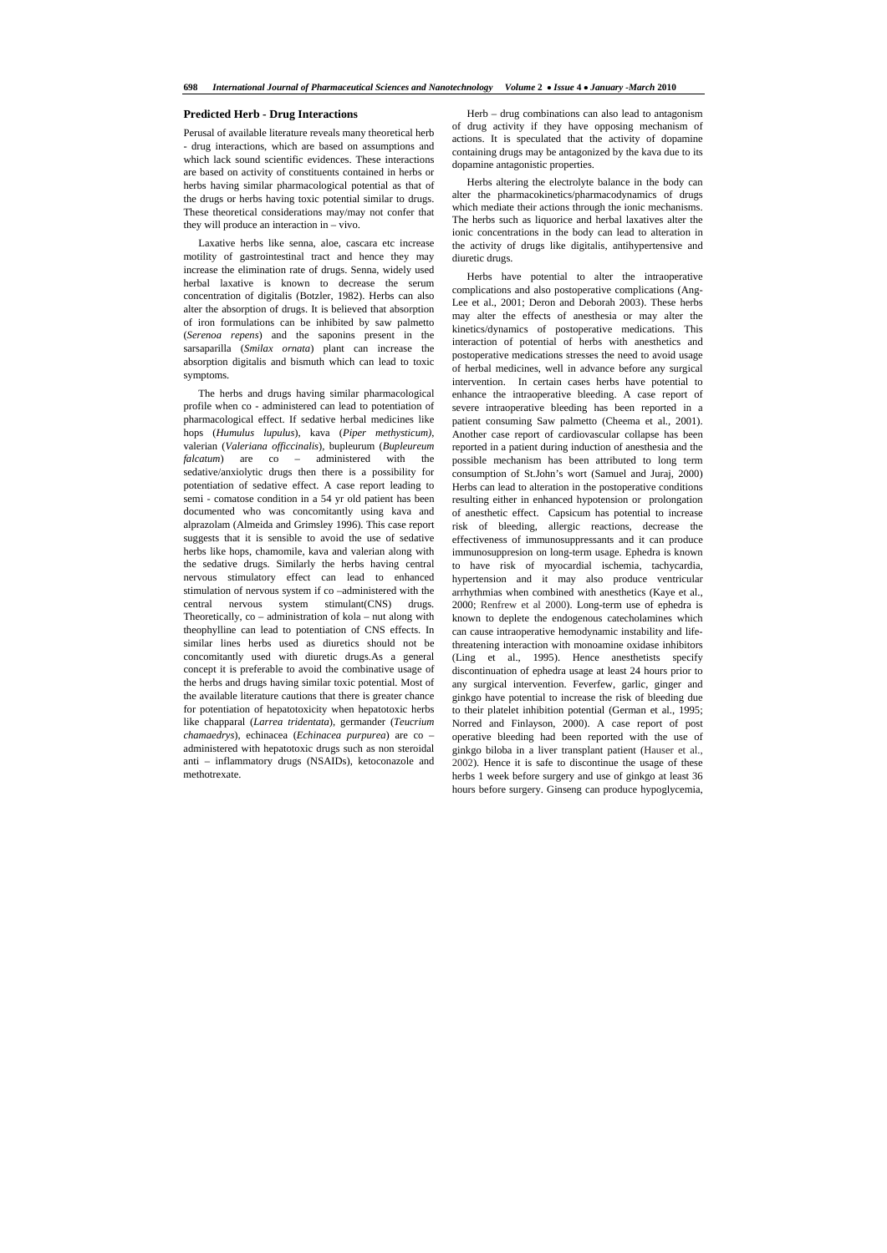## **Predicted Herb - Drug Interactions**

Perusal of available literature reveals many theoretical herb - drug interactions, which are based on assumptions and which lack sound scientific evidences. These interactions are based on activity of constituents contained in herbs or herbs having similar pharmacological potential as that of the drugs or herbs having toxic potential similar to drugs. These theoretical considerations may/may not confer that they will produce an interaction in – vivo.

 Laxative herbs like senna, aloe, cascara etc increase motility of gastrointestinal tract and hence they may increase the elimination rate of drugs. Senna, widely used herbal laxative is known to decrease the serum concentration of digitalis (Botzler, 1982). Herbs can also alter the absorption of drugs. It is believed that absorption of iron formulations can be inhibited by saw palmetto (*Serenoa repens*) and the saponins present in the sarsaparilla (*Smilax ornata*) plant can increase the absorption digitalis and bismuth which can lead to toxic symptoms.

 The herbs and drugs having similar pharmacological profile when co - administered can lead to potentiation of pharmacological effect. If sedative herbal medicines like hops (*Humulus lupulus*), kava (*Piper methysticum)*, valerian (*Valeriana officcinalis*), bupleurum (*Bupleureum falcatum*) are co – administered with the sedative/anxiolytic drugs then there is a possibility for potentiation of sedative effect. A case report leading to semi - comatose condition in a 54 yr old patient has been documented who was concomitantly using kava and alprazolam (Almeida and Grimsley 1996). This case report suggests that it is sensible to avoid the use of sedative herbs like hops, chamomile, kava and valerian along with the sedative drugs. Similarly the herbs having central nervous stimulatory effect can lead to enhanced stimulation of nervous system if co –administered with the central nervous system stimulant(CNS) drugs. Theoretically, co – administration of kola – nut along with theophylline can lead to potentiation of CNS effects. In similar lines herbs used as diuretics should not be concomitantly used with diuretic drugs.As a general concept it is preferable to avoid the combinative usage of the herbs and drugs having similar toxic potential. Most of the available literature cautions that there is greater chance for potentiation of hepatotoxicity when hepatotoxic herbs like chapparal (*Larrea tridentata*), germander (*Teucrium chamaedrys*), echinacea (*Echinacea purpurea*) are co – administered with hepatotoxic drugs such as non steroidal anti – inflammatory drugs (NSAIDs), ketoconazole and methotrexate.

 Herb – drug combinations can also lead to antagonism of drug activity if they have opposing mechanism of actions. It is speculated that the activity of dopamine containing drugs may be antagonized by the kava due to its dopamine antagonistic properties.

 Herbs altering the electrolyte balance in the body can alter the pharmacokinetics/pharmacodynamics of drugs which mediate their actions through the ionic mechanisms. The herbs such as liquorice and herbal laxatives alter the ionic concentrations in the body can lead to alteration in the activity of drugs like digitalis, antihypertensive and diuretic drugs.

 Herbs have potential to alter the intraoperative complications and also postoperative complications (Ang-Lee et al., 2001; Deron and Deborah 2003). These herbs may alter the effects of anesthesia or may alter the kinetics/dynamics of postoperative medications. This interaction of potential of herbs with anesthetics and postoperative medications stresses the need to avoid usage of herbal medicines, well in advance before any surgical intervention. In certain cases herbs have potential to enhance the intraoperative bleeding. A case report of severe intraoperative bleeding has been reported in a patient consuming Saw palmetto (Cheema et al., 2001). Another case report of cardiovascular collapse has been reported in a patient during induction of anesthesia and the possible mechanism has been attributed to long term consumption of St.John's wort (Samuel and Juraj, 2000) Herbs can lead to alteration in the postoperative conditions resulting either in enhanced hypotension or prolongation of anesthetic effect. Capsicum has potential to increase risk of bleeding, allergic reactions, decrease the effectiveness of immunosuppressants and it can produce immunosuppresion on long-term usage. Ephedra is known to have risk of myocardial ischemia, tachycardia, hypertension and it may also produce ventricular arrhythmias when combined with anesthetics (Kaye et al., 2000; Renfrew et al 2000). Long-term use of ephedra is known to deplete the endogenous catecholamines which can cause intraoperative hemodynamic instability and lifethreatening interaction with monoamine oxidase inhibitors (Ling et al., 1995). Hence anesthetists specify discontinuation of ephedra usage at least 24 hours prior to any surgical intervention. Feverfew, garlic, ginger and ginkgo have potential to increase the risk of bleeding due to their platelet inhibition potential (German et al., 1995; Norred and Finlayson, 2000). A case report of post operative bleeding had been reported with the use of ginkgo biloba in a liver transplant patient (Hauser et al., 2002). Hence it is safe to discontinue the usage of these herbs 1 week before surgery and use of ginkgo at least 36 hours before surgery. Ginseng can produce hypoglycemia,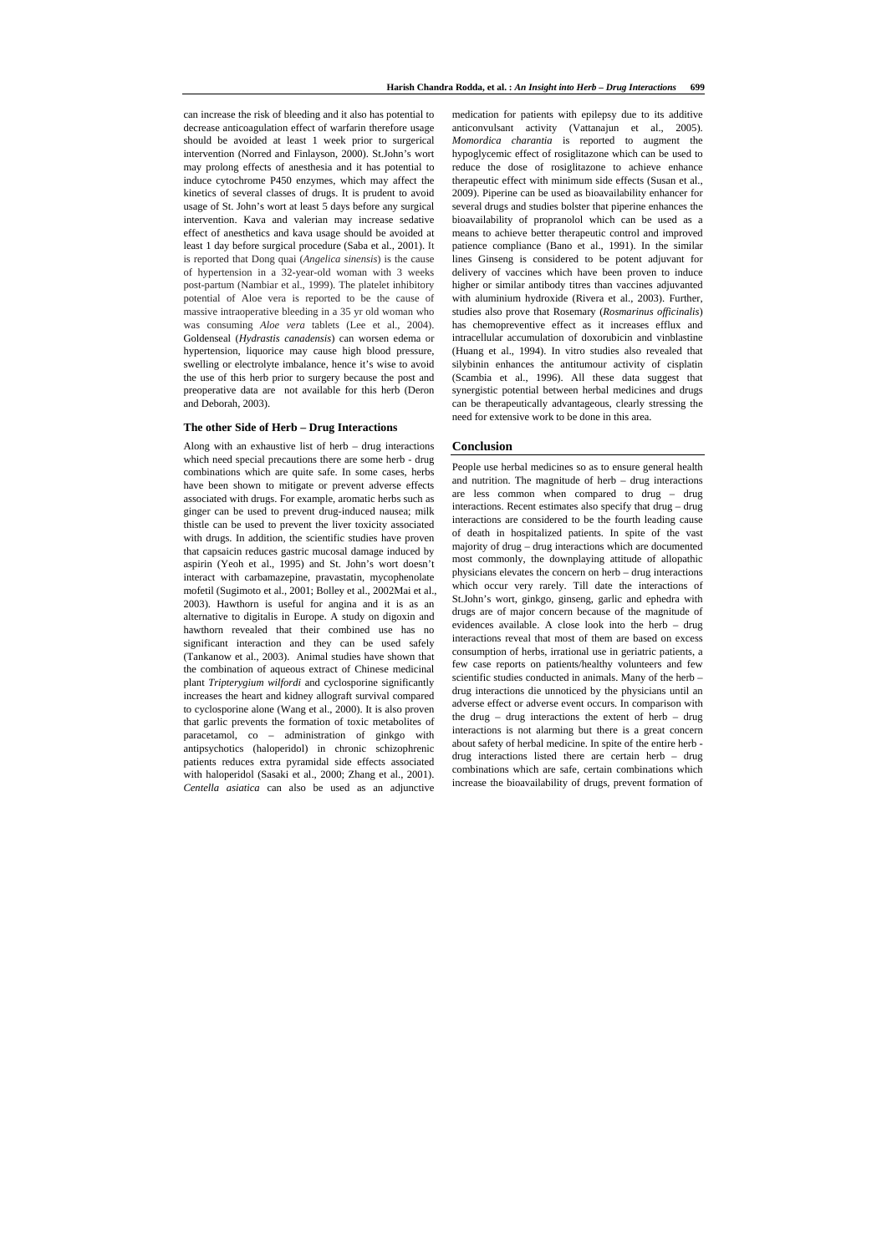can increase the risk of bleeding and it also has potential to decrease anticoagulation effect of warfarin therefore usage should be avoided at least 1 week prior to surgerical intervention (Norred and Finlayson, 2000). St.John's wort may prolong effects of anesthesia and it has potential to induce cytochrome P450 enzymes, which may affect the kinetics of several classes of drugs. It is prudent to avoid usage of St. John's wort at least 5 days before any surgical intervention. Kava and valerian may increase sedative effect of anesthetics and kava usage should be avoided at least 1 day before surgical procedure (Saba et al., 2001). It is reported that Dong quai (*Angelica sinensis*) is the cause of hypertension in a 32-year-old woman with 3 weeks post-partum (Nambiar et al., 1999). The platelet inhibitory potential of Aloe vera is reported to be the cause of massive intraoperative bleeding in a 35 yr old woman who was consuming *Aloe vera* tablets (Lee et al., 2004). Goldenseal (*Hydrastis canadensis*) can worsen edema or hypertension, liquorice may cause high blood pressure, swelling or electrolyte imbalance, hence it's wise to avoid the use of this herb prior to surgery because the post and preoperative data are not available for this herb (Deron and Deborah, 2003).

## **The other Side of Herb – Drug Interactions**

Along with an exhaustive list of herb – drug interactions which need special precautions there are some herb - drug combinations which are quite safe. In some cases, herbs have been shown to mitigate or prevent adverse effects associated with drugs. For example, aromatic herbs such as ginger can be used to prevent drug-induced nausea; milk thistle can be used to prevent the liver toxicity associated with drugs. In addition, the scientific studies have proven that capsaicin reduces gastric mucosal damage induced by aspirin (Yeoh et al., 1995) and St. John's wort doesn't interact with carbamazepine, pravastatin, mycophenolate mofetil (Sugimoto et al., 2001; Bolley et al., 2002Mai et al., 2003). Hawthorn is useful for angina and it is as an alternative to digitalis in Europe. A study on digoxin and hawthorn revealed that their combined use has no significant interaction and they can be used safely (Tankanow et al., 2003). Animal studies have shown that the combination of aqueous extract of Chinese medicinal plant *Tripterygium wilfordi* and cyclosporine significantly increases the heart and kidney allograft survival compared to cyclosporine alone (Wang et al., 2000). It is also proven that garlic prevents the formation of toxic metabolites of paracetamol, co – administration of ginkgo with antipsychotics (haloperidol) in chronic schizophrenic patients reduces extra pyramidal side effects associated with haloperidol (Sasaki et al., 2000; Zhang et al., 2001). *Centella asiatica* can also be used as an adjunctive

medication for patients with epilepsy due to its additive anticonvulsant activity (Vattanajun et al., 2005). *Momordica charantia* is reported to augment the hypoglycemic effect of rosiglitazone which can be used to reduce the dose of rosiglitazone to achieve enhance therapeutic effect with minimum side effects (Susan et al., 2009). Piperine can be used as bioavailability enhancer for several drugs and studies bolster that piperine enhances the bioavailability of propranolol which can be used as a means to achieve better therapeutic control and improved patience compliance (Bano et al., 1991). In the similar lines Ginseng is considered to be potent adjuvant for delivery of vaccines which have been proven to induce higher or similar antibody titres than vaccines adjuvanted with aluminium hydroxide (Rivera et al., 2003). Further, studies also prove that Rosemary (*Rosmarinus officinalis*) has chemopreventive effect as it increases efflux and intracellular accumulation of doxorubicin and vinblastine (Huang et al., 1994). In vitro studies also revealed that silybinin enhances the antitumour activity of cisplatin (Scambia et al., 1996). All these data suggest that synergistic potential between herbal medicines and drugs can be therapeutically advantageous, clearly stressing the need for extensive work to be done in this area.

## **Conclusion**

People use herbal medicines so as to ensure general health and nutrition. The magnitude of herb – drug interactions are less common when compared to drug – drug interactions. Recent estimates also specify that drug – drug interactions are considered to be the fourth leading cause of death in hospitalized patients. In spite of the vast majority of drug – drug interactions which are documented most commonly, the downplaying attitude of allopathic physicians elevates the concern on herb – drug interactions which occur very rarely. Till date the interactions of St.John's wort, ginkgo, ginseng, garlic and ephedra with drugs are of major concern because of the magnitude of evidences available. A close look into the herb – drug interactions reveal that most of them are based on excess consumption of herbs, irrational use in geriatric patients, a few case reports on patients/healthy volunteers and few scientific studies conducted in animals. Many of the herb – drug interactions die unnoticed by the physicians until an adverse effect or adverse event occurs. In comparison with the drug – drug interactions the extent of herb – drug interactions is not alarming but there is a great concern about safety of herbal medicine. In spite of the entire herb drug interactions listed there are certain herb – drug combinations which are safe, certain combinations which increase the bioavailability of drugs, prevent formation of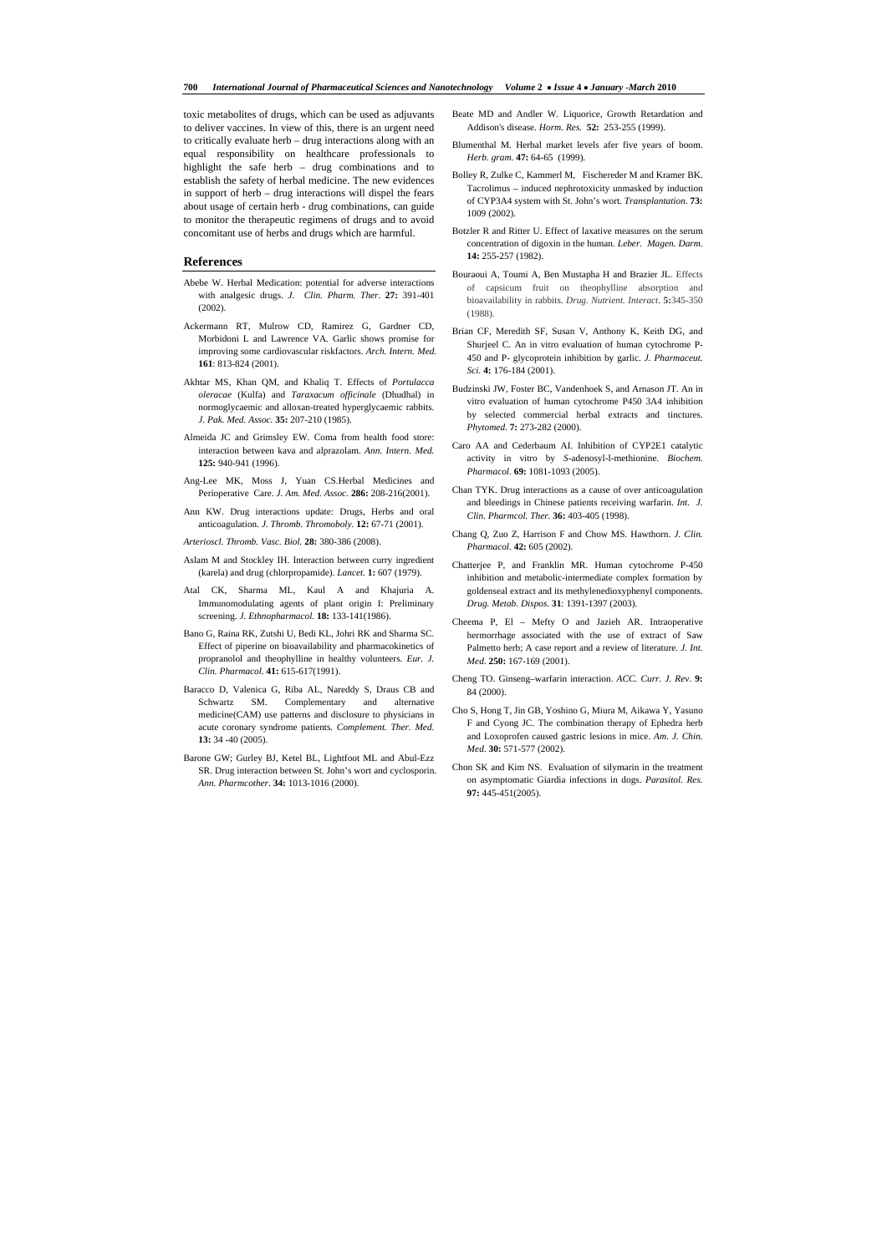toxic metabolites of drugs, which can be used as adjuvants to deliver vaccines. In view of this, there is an urgent need to critically evaluate herb – drug interactions along with an equal responsibility on healthcare professionals to highlight the safe herb – drug combinations and to establish the safety of herbal medicine. The new evidences in support of herb – drug interactions will dispel the fears about usage of certain herb - drug combinations, can guide to monitor the therapeutic regimens of drugs and to avoid concomitant use of herbs and drugs which are harmful.

## **References**

- Abebe W. Herbal Medication: potential for adverse interactions with analgesic drugs. *J. Clin. Pharm. Ther*. **27:** 391-401 (2002).
- Ackermann RT, Mulrow CD, Ramirez G, Gardner CD, Morbidoni L and Lawrence VA*.* Garlic shows promise for improving some cardiovascular riskfactors. *Arch. Intern. Med*. **161**: 813-824 (2001).
- Akhtar MS, Khan QM, and Khaliq T. Effects of *Portulacca oleracae* (Kulfa) and *Taraxacum officinale* (Dhudhal) in normoglycaemic and alloxan-treated hyperglycaemic rabbits. *J. Pak. Med. Assoc.* **35:** 207-210 (1985).
- Almeida JC and Grimsley EW. Coma from health food store: interaction between kava and alprazolam. *Ann. Intern. Med.* **125:** 940-941 (1996).
- Ang-Lee MK, Moss J, Yuan CS.Herbal Medicines and Perioperative Care. *J. Am. Med. Assoc.* **286:** 208-216(2001).
- Ann KW. Drug interactions update: Drugs, Herbs and oral anticoagulation. *J. Thromb. Thromoboly*. **12:** 67-71 (2001).
- *Arterioscl. Thromb. Vasc. Biol.* **28:** 380-386 (2008).
- Aslam M and Stockley IH. Interaction between curry ingredient (karela) and drug (chlorpropamide). *Lancet*. **1:** 607 (1979).
- Atal CK, Sharma ML, Kaul A and Khajuria A. Immunomodulating agents of plant origin I: Preliminary screening. *J. Ethnopharmacol.* **18:** 133-141(1986).
- Bano G, Raina RK, Zutshi U, Bedi KL, Johri RK and Sharma SC. Effect of piperine on bioavailability and pharmacokinetics of propranolol and theophylline in healthy volunteers. *Eur. J. Clin. Pharmacol.* **41:** 615-617(1991).
- Baracco D, Valenica G, Riba AL, Nareddy S, Draus CB and Schwartz SM. Complementary and alternative medicine(CAM) use patterns and disclosure to physicians in acute coronary syndrome patients*. Complement. Ther. Med*. **13:** 34 -40 (2005).
- Barone GW; Gurley BJ, Ketel BL, Lightfoot ML and Abul-Ezz SR. Drug interaction between St. John's wort and cyclosporin. *Ann. Pharmcother*. **34:** 1013-1016 (2000).
- Beate MD and Andler W. Liquorice, Growth Retardation and Addison's disease. *Horm. Res.* **52:** 253-255 (1999).
- Blumenthal M. Herbal market levels afer five years of boom. *Herb. gram*. **47:** 64-65 (1999).
- Bolley R, Zulke C, Kammerl M, Fischereder M and Kramer BK. Tacrolimus – induced nephrotoxicity unmasked by induction of CYP3A4 system with St. John's wort. *Transplantation*. **73:** 1009 (2002).
- Botzler R and Ritter U. Effect of laxative measures on the serum concentration of digoxin in the human. *Leber. Magen. Darm*. **14:** 255-257 (1982).
- Bouraoui A, Toumi A, Ben Mustapha H and Brazier JL. Effects of capsicum fruit on theophylline absorption and bioavailability in rabbits. *Drug. Nutrient. Interact*. **5:**345-350 (1988).
- Brian CF, Meredith SF, Susan V, Anthony K, Keith DG, and Shurjeel C. An in vitro evaluation of human cytochrome P-450 and P- glycoprotein inhibition by garlic. *J. Pharmaceut. Sci.* **4:** 176-184 (2001).
- Budzinski JW, Foster BC, Vandenhoek S, and Arnason JT. An in vitro evaluation of human cytochrome P450 3A4 inhibition by selected commercial herbal extracts and tinctures. *Phytomed*. **7:** 273-282 (2000).
- Caro AA and Cederbaum AI. Inhibition of CYP2E1 catalytic activity in vitro by *S*-adenosyl-l-methionine. *Biochem. Pharmacol*. **69:** 1081-1093 (2005).
- Chan TYK. Drug interactions as a cause of over anticoagulation and bleedings in Chinese patients receiving warfarin. *Int. J. Clin. Pharmcol. Ther.* **36:** 403-405 (1998).
- Chang Q, Zuo Z, Harrison F and Chow MS. Hawthorn. *J. Clin. Pharmacol*. **42:** 605 (2002).
- Chatterjee P, and Franklin MR. Human cytochrome P-450 inhibition and metabolic-intermediate complex formation by goldenseal extract and its methylenedioxyphenyl components. *Drug. Metab. Dispos*. **31**: 1391-1397 (2003).
- Cheema P, El Mefty O and Jazieh AR. Intraoperative hermorrhage associated with the use of extract of Saw Palmetto herb; A case report and a review of literature*. J. Int. Med*. **250:** 167-169 (2001).
- Cheng TO. Ginseng–warfarin interaction. *ACC. Curr. J. Rev*. **9:** 84 (2000).
- Cho S, Hong T, Jin GB, Yoshino G, Miura M, Aikawa Y, Yasuno F and Cyong JC. The combination therapy of Ephedra herb and Loxoprofen caused gastric lesions in mice. *Am. J. Chin. Med*. **30:** 571-577 (2002).
- Chon SK and Kim NS. Evaluation of silymarin in the treatment on asymptomatic Giardia infections in dogs. *Parasitol. Res.*  **97:** 445-451(2005).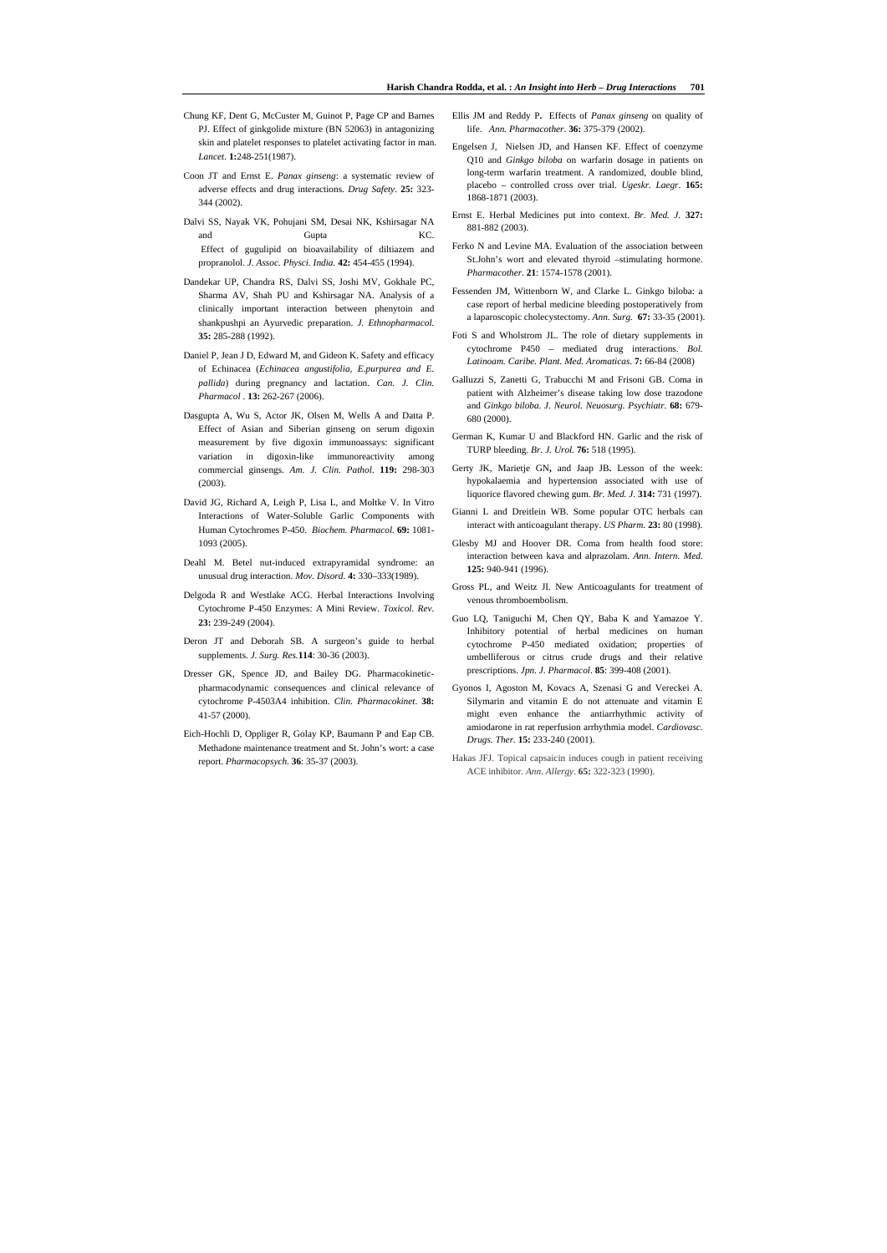- Chung KF, Dent G, McCuster M, Guinot P, Page CP and Barnes PJ. Effect of ginkgolide mixture (BN 52063) in antagonizing skin and platelet responses to platelet activating factor in man. *Lancet*. **1:**248-251(1987).
- Coon JT and Ernst E. *Panax ginseng*: a systematic review of adverse effects and drug interactions. *Drug Safety*. **25:** 323- 344 (2002).
- Dalvi SS, Nayak VK, Pohujani SM, Desai NK, Kshirsagar NA and Gupta **Gupta** KC. Effect of gugulipid on bioavailability of diltiazem and propranolol. *J. Assoc. Physci. India.* **42:** 454-455 (1994).
- Dandekar UP, Chandra RS, Dalvi SS, Joshi MV, Gokhale PC, Sharma AV, Shah PU and Kshirsagar NA. Analysis of a clinically important interaction between phenytoin and shankpushpi an Ayurvedic preparation. *J. Ethnopharmacol.* **35:** 285-288 (1992).
- Daniel P, Jean J D, Edward M, and Gideon K. Safety and efficacy of Echinacea (*Echinacea angustifolia, E*.*purpurea and E. pallida*) during pregnancy and lactation. *Can. J. Clin. Pharmacol* . **13:** 262-267 (2006).
- Dasgupta A, Wu S, Actor JK, Olsen M, Wells A and Datta P. Effect of Asian and Siberian ginseng on serum digoxin measurement by five digoxin immunoassays: significant variation in digoxin-like immunoreactivity among commercial ginsengs. *Am. J. Clin. Pathol*. **119:** 298-303 (2003).
- David JG, Richard A, Leigh P, Lisa L, and Moltke V. In Vitro Interactions of Water-Soluble Garlic Components with Human Cytochromes P-450. *Biochem. Pharmacol.* **69:** 1081- 1093 (2005).
- Deahl M. Betel nut-induced extrapyramidal syndrome: an unusual drug interaction. *Mov. Disord*. **4:** 330–333(1989).
- Delgoda R and Westlake ACG. Herbal Interactions Involving Cytochrome P-450 Enzymes: A Mini Review. *Toxicol. Rev*. **23:** 239-249 (2004).
- Deron JT and Deborah SB. A surgeon's guide to herbal supplements. *J. Surg. Res.***114**: 30-36 (2003).
- Dresser GK, Spence JD, and Bailey DG. Pharmacokineticpharmacodynamic consequences and clinical relevance of cytochrome P-4503A4 inhibition. *Clin. Pharmacokinet*. **38:** 41-57 (2000).
- Eich-Hochli D, Oppliger R, Golay KP, Baumann P and Eap CB. Methadone maintenance treatment and St. John's wort: a case report. *Pharmacopsych*. **36**: 35-37 (2003).
- Ellis JM and Reddy P**.** Effects of *Panax ginseng* on quality of life. *Ann. Pharmacother*. **36:** 375-379 (2002).
- Engelsen J, Nielsen JD, and Hansen KF. Effect of coenzyme Q10 and *Ginkgo biloba* on warfarin dosage in patients on long-term warfarin treatment. A randomized, double blind, placebo – controlled cross over trial. *Ugeskr. Laegr*. **165:**  1868-1871 (2003).
- Ernst E. Herbal Medicines put into context. *Br. Med. J.* **327:** 881-882 (2003).
- Ferko N and Levine MA. Evaluation of the association between St.John's wort and elevated thyroid –stimulating hormone. *Pharmacother*. **21**: 1574-1578 (2001).
- Fessenden JM, Wittenborn W, and Clarke L. Ginkgo biloba: a case report of herbal medicine bleeding postoperatively from a laparoscopic cholecystectomy. *Ann. Surg.* **67:** 33-35 (2001).
- Foti S and Wholstrom JL. The role of dietary supplements in cytochrome P450 – mediated drug interactions. *Bol. Latinoam. Caribe. Plant. Med. Aromaticas*. **7:** 66-84 (2008)
- Galluzzi S, Zanetti G, Trabucchi M and Frisoni GB. Coma in patient with Alzheimer's disease taking low dose trazodone and *Ginkgo biloba*. *J. Neurol. Neuosurg. Psychiatr*. **68:** 679- 680 (2000).
- German K, Kumar U and Blackford HN. Garlic and the risk of TURP bleeding. *Br. J. Urol.* **76:** 518 (1995).
- Gerty JK, Marietje GN**,** and Jaap JB**.** Lesson of the week: hypokalaemia and hypertension associated with use of liquorice flavored chewing gum. *Br. Med. J*. **314:** 731 (1997).
- Gianni L and Dreitlein WB. Some popular OTC herbals can interact with anticoagulant therapy. *US Pharm.* **23:** 80 (1998).
- Glesby MJ and Hoover DR. Coma from health food store: interaction between kava and alprazolam. *Ann. Intern. Med*. **125:** 940-941 (1996).
- Gross PL, and Weitz JI. New Anticoagulants for treatment of venous thromboembolism.
- Guo LQ, Taniguchi M, Chen QY, Baba K and Yamazoe Y. Inhibitory potential of herbal medicines on human cytochrome P-450 mediated oxidation; properties of umbelliferous or citrus crude drugs and their relative prescriptions. *Jpn. J. Pharmacol*. **85**: 399-408 (2001).
- Gyonos I, Agoston M, Kovacs A, Szenasi G and Vereckei A. Silymarin and vitamin E do not attenuate and vitamin E might even enhance the antiarrhythmic activity of amiodarone in rat reperfusion arrhythmia model. *Cardiovasc. Drugs. Ther.* **15:** 233-240 (2001).
- Hakas JFJ. Topical capsaicin induces cough in patient receiving ACE inhibitor. *Ann. Allergy*. **65:** 322-323 (1990).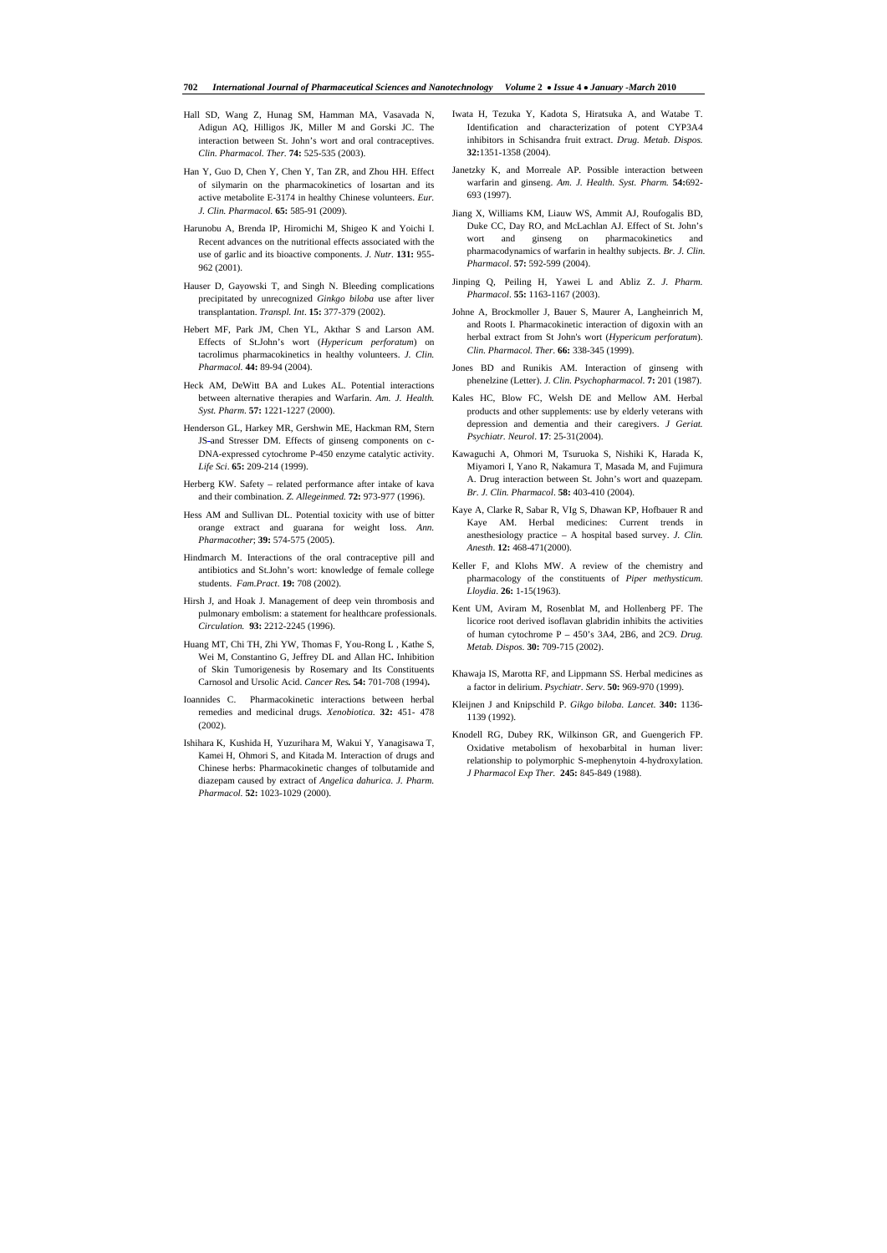#### **702** *International Journal of Pharmaceutical Sciences and Nanotechnology Volume* **2**• *Issue* **4** • *January -March* **2010**

- Hall SD, Wang Z, Hunag SM, Hamman MA, Vasavada N, Adigun AQ, Hilligos JK, Miller M and Gorski JC. The interaction between St. John's wort and oral contraceptives. *Clin. Pharmacol. Ther.* **74:** 525-535 (2003).
- Han Y, Guo D, Chen Y, Chen Y, Tan ZR, and Zhou HH. Effect of silymarin on the pharmacokinetics of losartan and its active metabolite E-3174 in healthy Chinese volunteers. *Eur. J. Clin. Pharmacol.* **65:** 585-91 (2009).
- Harunobu A, Brenda IP, Hiromichi M, Shigeo K and Yoichi I. Recent advances on the nutritional effects associated with the use of garlic and its bioactive components. *J. Nutr.* **131:** 955- 962 (2001).
- Hauser D, Gayowski T, and Singh N. Bleeding complications precipitated by unrecognized *Ginkgo biloba* use after liver transplantation. *Transpl. Int*. **15:** 377-379 (2002).
- Hebert MF, Park JM, Chen YL, Akthar S and Larson AM. Effects of St.John's wort (*Hypericum perforatum*) on tacrolimus pharmacokinetics in healthy volunteers. *J. Clin. Pharmacol.* **44:** 89-94 (2004).
- Heck AM, DeWitt BA and Lukes AL. Potential interactions between alternative therapies and Warfarin. *Am. J. Health. Syst. Pharm*. **57:** 1221-1227 (2000).
- Henderson GL, Harkey MR, Gershwin ME, Hackman RM, Stern JS-and Stresser DM. Effects of ginseng components on c-DNA-expressed cytochrome P-450 enzyme catalytic activity. *Life Sci*. **65:** 209-214 (1999).
- Herberg KW. Safety related performance after intake of kava and their combination. *Z. Allegeinmed.* **72:** 973-977 (1996).
- Hess AM and Sullivan DL. Potential toxicity with use of bitter orange extract and guarana for weight loss. *Ann. Pharmacother*; **39:** 574-575 (2005).
- Hindmarch M. Interactions of the oral contraceptive pill and antibiotics and St.John's wort: knowledge of female college students. *Fam.Pract*. **19:** 708 (2002).
- Hirsh J, and Hoak J. Management of deep vein thrombosis and pulmonary embolism: a statement for healthcare professionals. *Circulation.* **93:** 2212-2245 (1996).
- Huang MT, Chi TH, Zhi YW, Thomas F, You-Rong L , Kathe S, Wei M, Constantino G, Jeffrey DL and Allan HC**.** Inhibition of Skin Tumorigenesis by Rosemary and Its Constituents Carnosol and Ursolic Acid. *Cancer Res.* **54:** 701-708 (1994)**.**
- Ioannides C. Pharmacokinetic interactions between herbal remedies and medicinal drugs. *Xenobiotica*. **32:** 451- 478  $(2002)$
- Ishihara K, Kushida H, Yuzurihara M, Wakui Y, Yanagisawa T, Kamei H, Ohmori S, and Kitada M. Interaction of drugs and Chinese herbs: Pharmacokinetic changes of tolbutamide and diazepam caused by extract of *Angelica dahurica*. *J. Pharm. Pharmacol.* **52:** 1023-1029 (2000).
- Iwata H, Tezuka Y, Kadota S, Hiratsuka A, and Watabe T. Identification and characterization of potent CYP3A4 inhibitors in Schisandra fruit extract. *Drug. Metab. Dispos.* **32:**1351-1358 (2004).
- Janetzky K, and Morreale AP. Possible interaction between warfarin and ginseng. *Am. J. Health. Syst. Pharm.* **54:**692- 693 (1997).
- Jiang X, Williams KM, Liauw WS, Ammit AJ, Roufogalis BD, Duke CC, Day RO, and McLachlan AJ. Effect of St. John's wort and ginseng on pharmacokinetics and pharmacodynamics of warfarin in healthy subjects. *Br. J. Clin. Pharmacol*. **57:** 592-599 (2004).
- Jinping Q, Peiling H, Yawei L and Abliz Z. *J. Pharm. Pharmacol*. **55:** 1163-1167 (2003).
- Johne A, Brockmoller J, Bauer S, Maurer A, Langheinrich M, and Roots I. Pharmacokinetic interaction of digoxin with an herbal extract from St John's wort (*Hypericum perforatum*). *Clin. Pharmacol. Ther*. **66:** 338-345 (1999).
- Jones BD and Runikis AM. Interaction of ginseng with phenelzine (Letter). *J. Clin. Psychopharmacol.* **7:** 201 (1987).
- Kales HC, Blow FC, Welsh DE and Mellow AM. Herbal products and other supplements: use by elderly veterans with depression and dementia and their caregivers. *J Geriat. Psychiatr. Neurol*. **17**: 25-31(2004).
- Kawaguchi A, Ohmori M, Tsuruoka S, Nishiki K, Harada K, Miyamori I, Yano R, Nakamura T, Masada M, and Fujimura A. Drug interaction between St. John's wort and quazepam*. Br. J. Clin. Pharmacol*. **58:** 403-410 (2004).
- Kaye A, Clarke R, Sabar R, VIg S, Dhawan KP, Hofbauer R and Kaye AM. Herbal medicines: Current trends in anesthesiology practice – A hospital based survey. *J. Clin. Anesth*. **12:** 468-471(2000).
- Keller F, and Klohs MW. A review of the chemistry and pharmacology of the constituents of *Piper methysticum*. *Lloydia*. **26:** 1-15(1963).
- Kent UM, Aviram M, Rosenblat M, and Hollenberg PF. The licorice root derived isoflavan glabridin inhibits the activities of human cytochrome P – 450's 3A4, 2B6, and 2C9. *Drug. Metab. Dispos.* **30:** 709-715 (2002).
- Khawaja IS, Marotta RF, and Lippmann SS. Herbal medicines as a factor in delirium. *Psychiatr. Serv*. **50:** 969-970 (1999).
- Kleijnen J and Knipschild P. *Gikgo biloba*. *Lancet*. **340:** 1136- 1139 (1992).
- Knodell RG, Dubey RK, Wilkinson GR, and Guengerich FP. Oxidative metabolism of hexobarbital in human liver: relationship to polymorphic S-mephenytoin 4-hydroxylation. *J Pharmacol Exp Ther.* **245:** 845-849 (1988).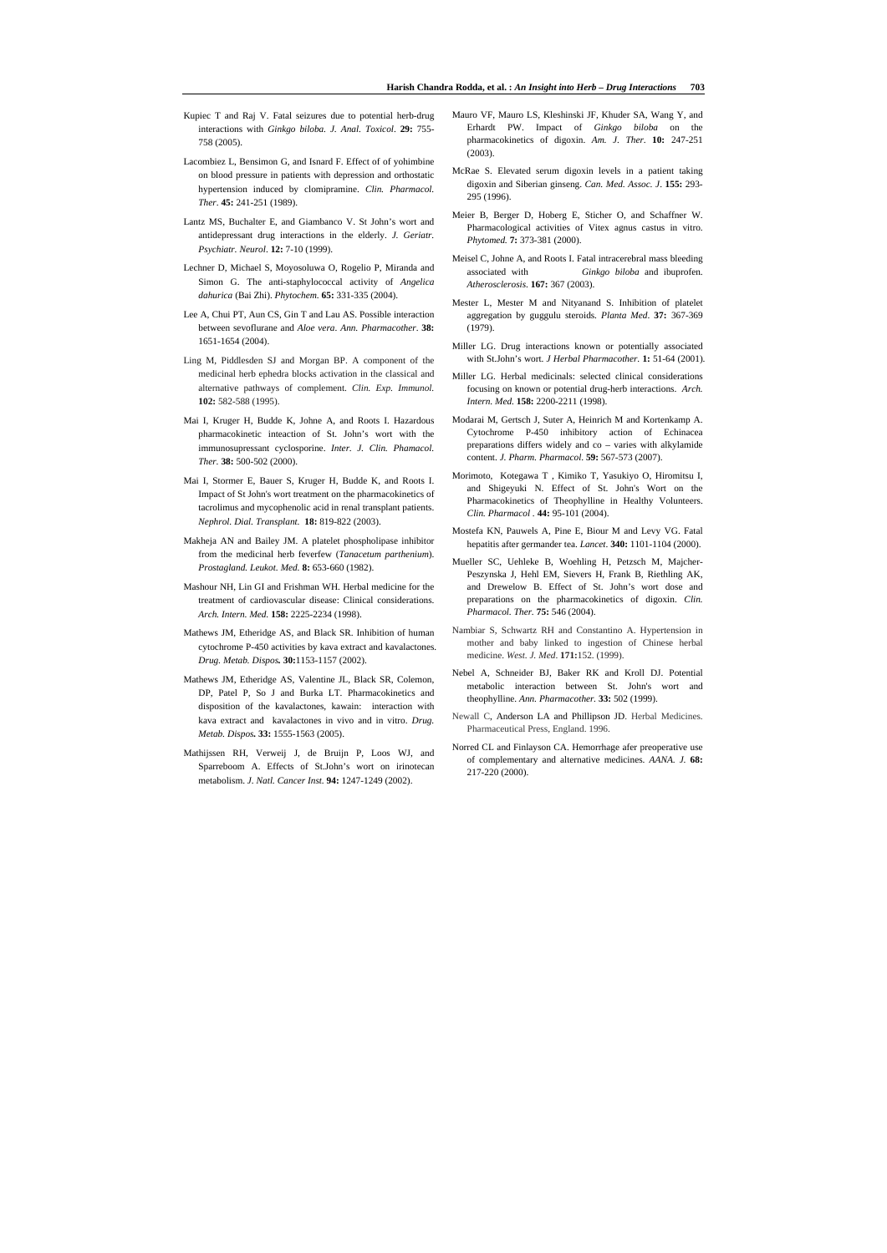- Kupiec T and Raj V. Fatal seizures due to potential herb-drug interactions with *Ginkgo biloba. J. Anal. Toxicol*. **29:** 755- 758 (2005).
- Lacombiez L, Bensimon G, and Isnard F. Effect of of yohimbine on blood pressure in patients with depression and orthostatic hypertension induced by clomipramine. *Clin. Pharmacol. Ther*. **45:** 241-251 (1989).
- Lantz MS, Buchalter E, and Giambanco V. St John's wort and antidepressant drug interactions in the elderly. *J. Geriatr. Psychiatr. Neurol*. **12:** 7-10 (1999).
- Lechner D, Michael S, Moyosoluwa O, Rogelio P, Miranda and Simon G. The anti-staphylococcal activity of *Angelica dahurica* (Bai Zhi). *Phytochem.* **65:** 331-335 (2004).
- Lee A, Chui PT, Aun CS, Gin T and Lau AS. Possible interaction between sevoflurane and *Aloe vera*. *Ann. Pharmacother*. **38:**  1651-1654 (2004).
- Ling M, Piddlesden SJ and Morgan BP. A component of the medicinal herb ephedra blocks activation in the classical and alternative pathways of complement. *Clin. Exp. Immunol.* **102:** 582-588 (1995).
- Mai I, Kruger H, Budde K, Johne A, and Roots I. Hazardous pharmacokinetic inteaction of St. John's wort with the immunosupressant cyclosporine. *Inter. J. Clin. Phamacol. Ther.* **38:** 500-502 (2000).
- Mai I, Stormer E, Bauer S, Kruger H, Budde K, and Roots I. Impact of St John's wort treatment on the pharmacokinetics of tacrolimus and mycophenolic acid in renal transplant patients. *Nephrol. Dial. Transplant.* **18:** 819-822 (2003).
- Makheja AN and Bailey JM. A platelet phospholipase inhibitor from the medicinal herb feverfew (*Tanacetum parthenium*). *Prostagland. Leukot. Med.* **8:** 653-660 (1982).
- Mashour NH, Lin GI and Frishman WH. Herbal medicine for the treatment of cardiovascular disease: Clinical considerations. *Arch. Intern. Med.* **158:** 2225-2234 (1998).
- Mathews JM, Etheridge AS, and Black SR. Inhibition of human cytochrome P-450 activities by kava extract and kavalactones. *Drug. Metab. Dispos.* **30:**1153-1157 (2002).
- Mathews JM, Etheridge AS, Valentine JL, Black SR, Colemon, DP, Patel P, So J and Burka LT. Pharmacokinetics and disposition of the kavalactones, kawain: interaction with kava extract and kavalactones in vivo and in vitro. *Drug. Metab. Dispos.* **33:** 1555-1563 (2005).
- Mathijssen RH, Verweij J, de Bruijn P, Loos WJ, and Sparreboom A. Effects of St.John's wort on irinotecan metabolism. *J. Natl. Cancer Inst.* **94:** 1247-1249 (2002).
- Mauro VF, Mauro LS, Kleshinski JF, Khuder SA, Wang Y, and Erhardt PW. Impact of *Ginkgo biloba* on the pharmacokinetics of digoxin. *Am. J. Ther*. **10:** 247-251 (2003).
- McRae S. Elevated serum digoxin levels in a patient taking digoxin and Siberian ginseng. *Can. Med. Assoc. J*. **155:** 293- 295 (1996).
- Meier B, Berger D, Hoberg E, Sticher O, and Schaffner W. Pharmacological activities of Vitex agnus castus in vitro. *Phytomed.* **7:** 373-381 (2000).
- Meisel C, Johne A, and Roots I. Fatal intracerebral mass bleeding associated with *Ginkgo biloba* and ibuprofen. *Atherosclerosis*. **167:** 367 (2003).
- Mester L, Mester M and Nityanand S. Inhibition of platelet aggregation by guggulu steroids. *Planta Med*. **37:** 367-369 (1979).
- Miller LG. Drug interactions known or potentially associated with St.John's wort. *J Herbal Pharmacother.* **1:** 51-64 (2001).
- Miller LG. Herbal medicinals: selected clinical considerations focusing on known or potential drug-herb interactions. *Arch. Intern. Med.* **158:** 2200-2211 (1998).
- Modarai M, Gertsch J, Suter A, Heinrich M and Kortenkamp A. Cytochrome P-450 inhibitory action of Echinacea preparations differs widely and co – varies with alkylamide content. *J. Pharm. Pharmacol*. **59:** 567-573 (2007).
- Morimoto, Kotegawa T , Kimiko T, Yasukiyo O, Hiromitsu I, and Shigeyuki N. Effect of St. John's Wort on the Pharmacokinetics of Theophylline in Healthy Volunteers. *Clin. Pharmacol .* **44:** 95-101 (2004).
- Mostefa KN, Pauwels A, Pine E, Biour M and Levy VG. Fatal hepatitis after germander tea. *Lancet*. **340:** 1101-1104 (2000).
- Mueller SC, Uehleke B, Woehling H, Petzsch M, Majcher-Peszynska J, Hehl EM, Sievers H, Frank B, Riethling AK, and Drewelow B. Effect of St. John's wort dose and preparations on the pharmacokinetics of digoxin. *Clin. Pharmacol. Ther.* **75:** 546 (2004).
- Nambiar S, Schwartz RH and Constantino A. Hypertension in mother and baby linked to ingestion of Chinese herbal medicine. *West. J. Med*. **171:**152. (1999).
- Nebel A, Schneider BJ, Baker RK and Kroll DJ. Potential metabolic interaction between St. John's wort and theophylline. *Ann. Pharmacother.* **33:** 502 (1999).
- Newall C, Anderson LA and Phillipson JD. Herbal Medicines. Pharmaceutical Press, England. 1996.
- Norred CL and Finlayson CA. Hemorrhage afer preoperative use of complementary and alternative medicines. *AANA. J.* **68:** 217-220 (2000).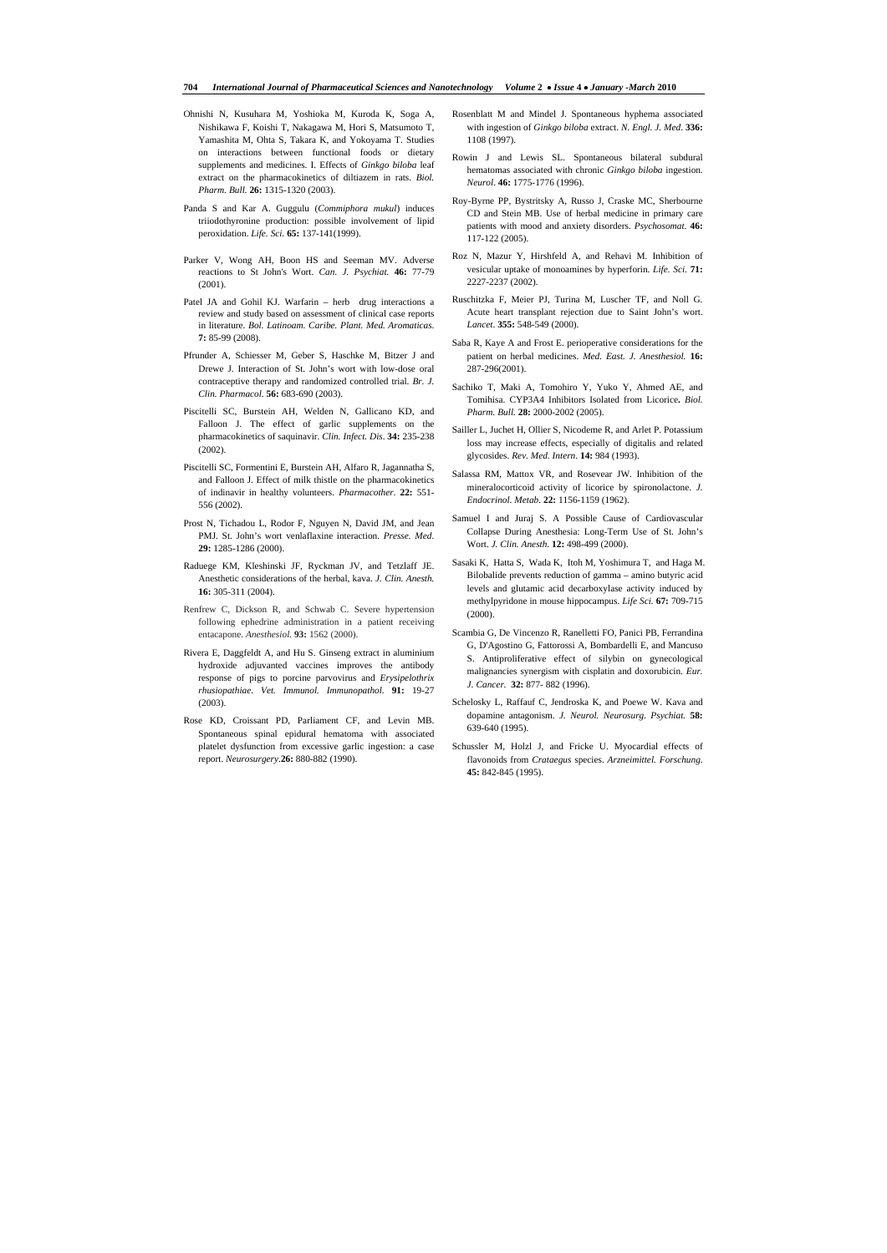#### **704** *International Journal of Pharmaceutical Sciences and Nanotechnology Volume* **2**• *Issue* **4** • *January -March* **2010**

- Ohnishi N, Kusuhara M, Yoshioka M, Kuroda K, Soga A, Nishikawa F, Koishi T, Nakagawa M, Hori S, Matsumoto T, Yamashita M, Ohta S, Takara K, and Yokoyama T. Studies on interactions between functional foods or dietary supplements and medicines. I. Effects of *Ginkgo biloba* leaf extract on the pharmacokinetics of diltiazem in rats. *Biol. Pharm. Bull.* **26:** 1315-1320 (2003).
- Panda S and Kar A. Guggulu (*Commiphora mukul*) induces triiodothyronine production: possible involvement of lipid peroxidation. *Life. Sci.* **65:** 137-141(1999).
- Parker V, Wong AH, Boon HS and Seeman MV. Adverse reactions to St John's Wort. *Can. J. Psychiat.* **46:** 77-79 (2001).
- Patel JA and Gohil KJ. Warfarin herb drug interactions a review and study based on assessment of clinical case reports in literature. *Bol. Latinoam. Caribe. Plant. Med. Aromaticas*. **7:** 85-99 (2008).
- Pfrunder A, Schiesser M, Geber S, Haschke M, Bitzer J and Drewe J. Interaction of St. John's wort with low-dose oral contraceptive therapy and randomized controlled trial. *Br. J. Clin. Pharmacol.* **56:** 683-690 (2003).
- Piscitelli SC, Burstein AH, Welden N, Gallicano KD, and Falloon J. The effect of garlic supplements on the pharmacokinetics of saquinavir. *Clin. Infect. Dis*. **34:** 235-238 (2002).
- Piscitelli SC, Formentini E, Burstein AH, Alfaro R, Jagannatha S, and Falloon J. Effect of milk thistle on the pharmacokinetics of indinavir in healthy volunteers. *Pharmacother*. **22:** 551- 556 (2002).
- Prost N, Tichadou L, Rodor F, Nguyen N, David JM, and Jean PMJ. St. John's wort venlaflaxine interaction. *Presse. Med*. **29:** 1285-1286 (2000).
- Raduege KM, Kleshinski JF, Ryckman JV, and Tetzlaff JE. Anesthetic considerations of the herbal, kava. *J. Clin. Anesth.*  **16:** 305-311 (2004).
- Renfrew C, Dickson R, and Schwab C. Severe hypertension following ephedrine administration in a patient receiving entacapone. *Anesthesiol.* **93:** 1562 (2000).
- Rivera E, Daggfeldt A, and Hu S. Ginseng extract in aluminium hydroxide adjuvanted vaccines improves the antibody response of pigs to porcine parvovirus and *Erysipelothrix rhusiopathiae*. *Vet. Immunol. Immunopathol.* **91:** 19-27 (2003).
- Rose KD, Croissant PD, Parliament CF, and Levin MB. Spontaneous spinal epidural hematoma with associated platelet dysfunction from excessive garlic ingestion: a case report. *Neurosurgery*.**26:** 880-882 (1990).
- Rosenblatt M and Mindel J. Spontaneous hyphema associated with ingestion of *Ginkgo biloba* extract. *N. Engl. J. Med*. **336:**  1108 (1997).
- Rowin J and Lewis SL. Spontaneous bilateral subdural hematomas associated with chronic *Ginkgo biloba* ingestion. *Neurol*. **46:** 1775-1776 (1996).
- Roy-Byrne PP, Bystritsky A, Russo J, Craske MC, Sherbourne CD and Stein MB. Use of herbal medicine in primary care patients with mood and anxiety disorders. *Psychosomat*. **46:** 117-122 (2005).
- Roz N, Mazur Y, Hirshfeld A, and Rehavi M. Inhibition of vesicular uptake of monoamines by hyperforin. *Life. Sci*. **71:** 2227-2237 (2002).
- Ruschitzka F, Meier PJ, Turina M, Luscher TF, and Noll G. Acute heart transplant rejection due to Saint John's wort. *Lancet*. **355:** 548-549 (2000).
- Saba R, Kaye A and Frost E. perioperative considerations for the patient on herbal medicines. *Med. East. J. Anesthesiol.* **16:** 287-296(2001).
- Sachiko T, Maki A, Tomohiro Y, Yuko Y, Ahmed AE, and Tomihisa. CYP3A4 Inhibitors Isolated from Licorice**.** *Biol. Pharm. Bull.* **28:** 2000-2002 (2005).
- Sailler L, Juchet H, Ollier S, Nicodeme R, and Arlet P. Potassium loss may increase effects, especially of digitalis and related glycosides. *Rev. Med. Intern*. **14:** 984 (1993).
- Salassa RM, Mattox VR, and Rosevear JW. Inhibition of the mineralocorticoid activity of licorice by spironolactone. *J. Endocrinol. Metab*. **22:** 1156-1159 (1962).
- Samuel I and Juraj S. A Possible Cause of Cardiovascular Collapse During Anesthesia: Long-Term Use of St. John's Wort. *J. Clin. Anesth.* **12:** 498-499 (2000).
- Sasaki K, Hatta S, Wada K, Itoh M, Yoshimura T, and Haga M. Bilobalide prevents reduction of gamma – amino butyric acid levels and glutamic acid decarboxylase activity induced by methylpyridone in mouse hippocampus. *Life Sci.* **67:** 709-715 (2000).
- Scambia G, De Vincenzo R, Ranelletti FO, Panici PB, Ferrandina G, D'Agostino G, Fattorossi A, Bombardelli E, and Mancuso S. Antiproliferative effect of silybin on gynecological malignancies synergism with cisplatin and doxorubicin. *Eur. J. Cancer.* **32:** 877- 882 (1996).
- Schelosky L, Raffauf C, Jendroska K, and Poewe W. Kava and dopamine antagonism. *J. Neurol. Neurosurg. Psychiat.* **58:** 639-640 (1995).
- Schussler M, Holzl J, and Fricke U. Myocardial effects of flavonoids from *Crataegus* species. *Arzneimittel. Forschung*. **45:** 842-845 (1995).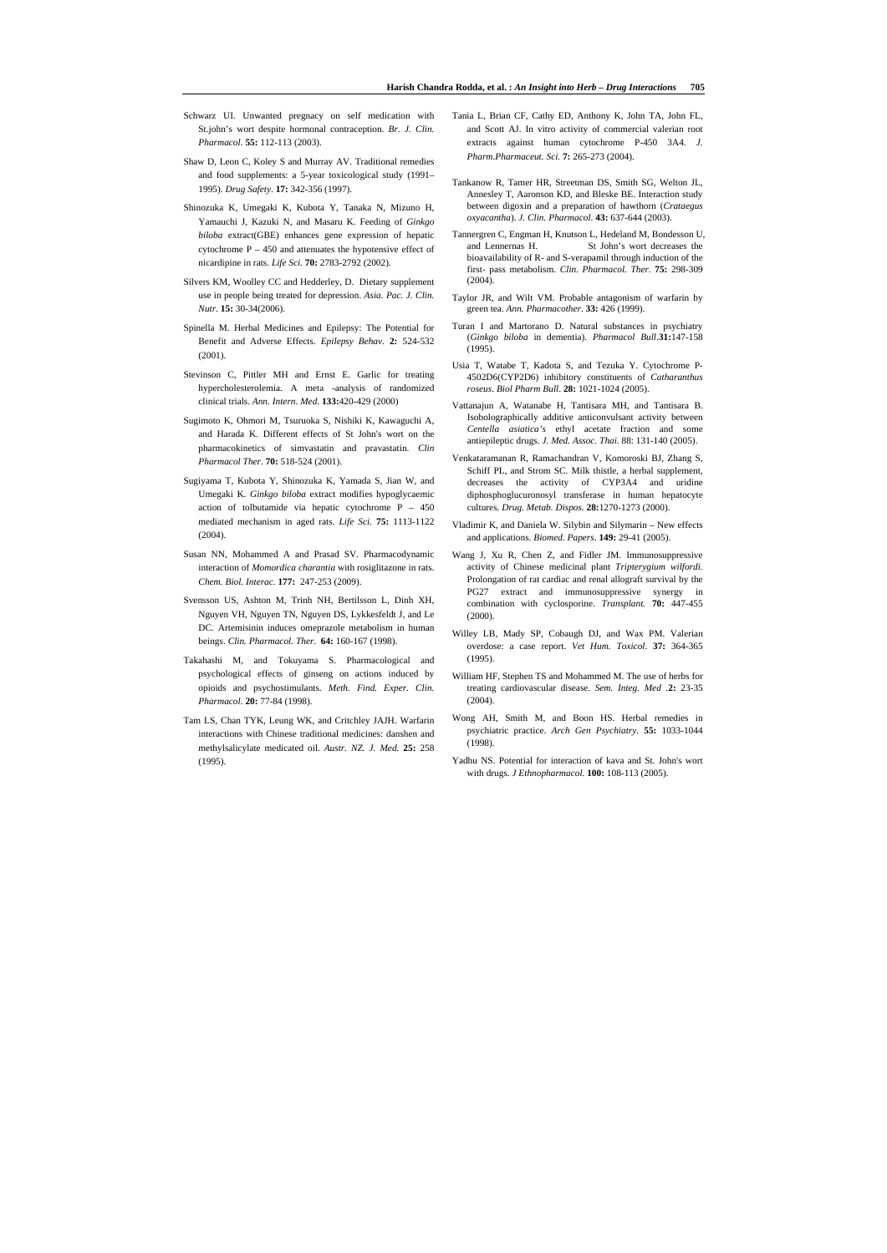- Schwarz UI. Unwanted pregnacy on self medication with St.john's wort despite hormonal contraception. *Br. J. Clin. Pharmacol*. **55:** 112-113 (2003).
- Shaw D, Leon C, Koley S and Murray AV. Traditional remedies and food supplements: a 5-year toxicological study (1991– 1995). *Drug Safety*. **17:** 342-356 (1997).
- Shinozuka K, Umegaki K, Kubota Y, Tanaka N, Mizuno H, Yamauchi J, Kazuki N, and Masaru K. Feeding of *Ginkgo biloba* extract(GBE) enhances gene expression of hepatic cytochrome  $P - 450$  and attenuates the hypotensive effect of nicardipine in rats. *Life Sci.* **70:** 2783-2792 (2002).
- Silvers KM, Woolley CC and Hedderley, D. Dietary supplement use in people being treated for depression. *Asia. Pac. J. Clin. Nutr*. **15:** 30-34(2006).
- Spinella M. Herbal Medicines and Epilepsy: The Potential for Benefit and Adverse Effects. *Epilepsy Behav*. **2:** 524-532 (2001).
- Stevinson C, Pittler MH and Ernst E. Garlic for treating hypercholesterolemia. A meta -analysis of randomized clinical trials. *Ann. Intern. Med*. **133:**420-429 (2000)
- Sugimoto K, Ohmori M, Tsuruoka S, Nishiki K, Kawaguchi A, and Harada K. Different effects of St John's wort on the pharmacokinetics of simvastatin and pravastatin. *Clin Pharmacol Ther*. **70:** 518-524 (2001).
- Sugiyama T, Kubota Y, Shinozuka K, Yamada S, Jian W, and Umegaki K. *Ginkgo biloba* extract modifies hypoglycaemic action of tolbutamide via hepatic cytochrome P – 450 mediated mechanism in aged rats. *Life Sci.* **75:** 1113-1122 (2004).
- Susan NN, Mohammed A and Prasad SV. Pharmacodynamic interaction of *Momordica charantia* with rosiglitazone in rats. *Chem. Biol. Interac.* **177:** 247-253 (2009).
- Svensson US, Ashton M, Trinh NH, Bertilsson L, Dinh XH, Nguyen VH, Nguyen TN, Nguyen DS, Lykkesfeldt J, and Le DC. Artemisinin induces omeprazole metabolism in human beings. *Clin. Pharmacol. Ther*. **64:** 160-167 (1998).
- Takahashi M, and Tokuyama S. Pharmacological and psychological effects of ginseng on actions induced by opioids and psychostimulants. *Meth. Find. Exper. Clin. Pharmacol*. **20:** 77-84 (1998).
- Tam LS, Chan TYK, Leung WK, and Critchley JAJH. Warfarin interactions with Chinese traditional medicines: danshen and methylsalicylate medicated oil. *Austr. NZ. J. Med.* **25:** 258 (1995).
- Tania L, Brian CF, Cathy ED, Anthony K, John TA, John FL, and Scott AJ. In vitro activity of commercial valerian root extracts against human cytochrome P-450 3A4. *J. Pharm.Pharmaceut. Sci.* **7:** 265-273 (2004).
- Tankanow R, Tamer HR, Streetman DS, Smith SG, Welton JL, Annesley T, Aaronson KD, and Bleske BE. Interaction study between digoxin and a preparation of hawthorn (*Crataegus oxyacantha*). *J. Clin. Pharmacol*. **43:** 637-644 (2003).
- Tannergren C, Engman H, Knutson L, Hedeland M, Bondesson U, and Lennernas H. St John's wort decreases the bioavailability of R- and S-verapamil through induction of the first- pass metabolism. *Clin. Pharmacol. Ther*. **75:** 298-309 (2004).
- Taylor JR, and Wilt VM. Probable antagonism of warfarin by green tea. *Ann. Pharmacother*. **33:** 426 (1999).
- Turan I and Martorano D. Natural substances in psychiatry (*Ginkgo biloba* in dementia). *Pharmacol Bull*.**31:**147-158 (1995).
- Usia T, Watabe T, Kadota S, and Tezuka Y. Cytochrome P-4502D6(CYP2D6) inhibitory constituents of *Catharanthus roseus*. *Biol Pharm Bull*. **28:** 1021-1024 (2005).
- Vattanajun A, Watanabe H, Tantisara MH, and Tantisara B. Isobolographically additive anticonvulsant activity between *Centella asiatica's* ethyl acetate fraction and some antiepileptic drugs. *J. Med. Assoc. Thai.* 88: 131-140 (2005).
- Venkataramanan R, Ramachandran V, Komoroski BJ, Zhang S, Schiff PL, and Strom SC. Milk thistle, a herbal supplement, decreases the activity of CYP3A4 and uridine diphosphoglucuronosyl transferase in human hepatocyte cultures. *Drug. Metab. Dispos.* **28:**1270-1273 (2000).
- Vladimir K, and Daniela W. Silybin and Silymarin New effects and applications. *Biomed. Papers*. **149:** 29-41 (2005).
- Wang J, Xu R, Chen Z, and Fidler JM. Immunosuppressive activity of Chinese medicinal plant *Tripterygium wilfordi*. Prolongation of rat cardiac and renal allograft survival by the PG27 extract and immunosuppressive synergy in combination with cyclosporine. *Transplant.* **70:** 447-455 (2000).
- Willey LB, Mady SP, Cobaugh DJ, and Wax PM. Valerian overdose: a case report. *Vet Hum. Toxicol*. **37:** 364-365 (1995).
- William HF, Stephen TS and Mohammed M. The use of herbs for treating cardiovascular disease. *Sem. Integ. Med .***2:** 23-35 (2004).
- Wong AH, Smith M, and Boon HS. Herbal remedies in psychiatric practice. *Arch Gen Psychiatry*. **55:** 1033-1044 (1998).
- Yadhu NS. Potential for interaction of kava and St. John's wort with drugs. *J Ethnopharmacol.* **100:** 108-113 (2005).